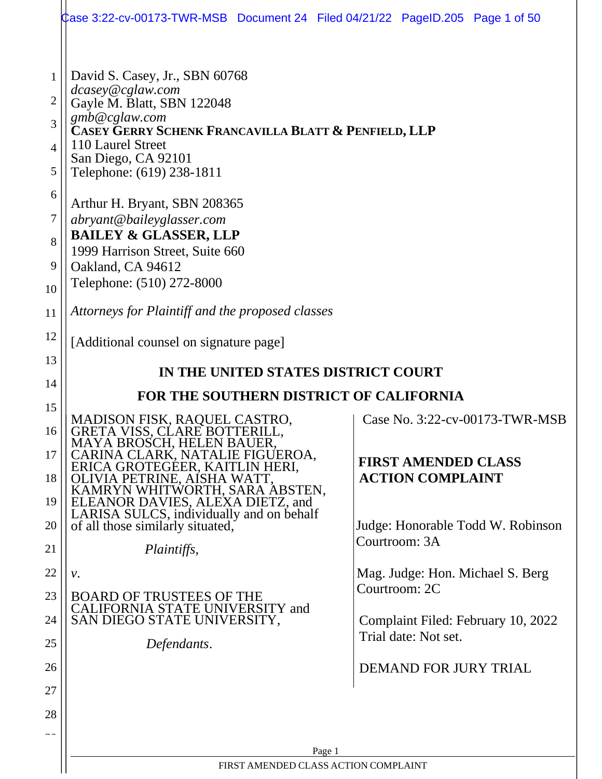|                | Case 3:22-cv-00173-TWR-MSB Document 24 Filed 04/21/22 PageID.205 Page 1 of 50 |                                                            |  |  |  |  |  |  |
|----------------|-------------------------------------------------------------------------------|------------------------------------------------------------|--|--|--|--|--|--|
|                |                                                                               |                                                            |  |  |  |  |  |  |
| 1              | David S. Casey, Jr., SBN 60768                                                |                                                            |  |  |  |  |  |  |
| $\overline{2}$ | dcasey@cglaw.com                                                              |                                                            |  |  |  |  |  |  |
| 3              | Gayle M. Blatt, SBN 122048<br>gmb@cglaw.com                                   |                                                            |  |  |  |  |  |  |
| 4              | CASEY GERRY SCHENK FRANCAVILLA BLATT & PENFIELD, LLP<br>110 Laurel Street     |                                                            |  |  |  |  |  |  |
| 5              | San Diego, CA 92101<br>Telephone: (619) 238-1811                              |                                                            |  |  |  |  |  |  |
| 6              |                                                                               |                                                            |  |  |  |  |  |  |
| 7              | Arthur H. Bryant, SBN 208365<br>abryant@baileyglasser.com                     |                                                            |  |  |  |  |  |  |
| 8              | <b>BAILEY &amp; GLASSER, LLP</b>                                              |                                                            |  |  |  |  |  |  |
| 9              | 1999 Harrison Street, Suite 660<br>Oakland, CA 94612                          |                                                            |  |  |  |  |  |  |
| 10             | Telephone: (510) 272-8000                                                     |                                                            |  |  |  |  |  |  |
| 11             | Attorneys for Plaintiff and the proposed classes                              |                                                            |  |  |  |  |  |  |
| 12             | [Additional counsel on signature page]                                        |                                                            |  |  |  |  |  |  |
| 13             | IN THE UNITED STATES DISTRICT COURT                                           |                                                            |  |  |  |  |  |  |
| 14             | FOR THE SOUTHERN DISTRICT OF CALIFORNIA                                       |                                                            |  |  |  |  |  |  |
| 15             | MADISON FISK, RAQUEL CASTRO,                                                  | Case No. 3:22-cv-00173-TWR-MSB                             |  |  |  |  |  |  |
| 16             | GRETA VISS, CLARE BOTTERILL,<br>MAYA BROSCH, HELEN BAUER,                     |                                                            |  |  |  |  |  |  |
| 17             | CARINA CLARK, NATALIE FIGUEROA,<br>ERICA GROTEGEER, KAITLIN HERI,             | <b>FIRST AMENDED CLASS</b>                                 |  |  |  |  |  |  |
| 18             | OLIVIA PETRINE, AISHA WATT,<br>KAMRYN WHITWORTH, SARA ABSTEN,                 | <b>ACTION COMPLAINT</b>                                    |  |  |  |  |  |  |
| 19             | ELEANOR DAVIES, ALEXA DIETZ, and<br>LARISA SULCS, individually and on behalf  |                                                            |  |  |  |  |  |  |
| 20             | of all those similarly situated,                                              | Judge: Honorable Todd W. Robinson<br>Courtroom: 3A         |  |  |  |  |  |  |
| 21             | Plaintiffs,                                                                   |                                                            |  |  |  |  |  |  |
| 22             | $\nu$ .                                                                       | Mag. Judge: Hon. Michael S. Berg<br>Courtroom: 2C          |  |  |  |  |  |  |
| 23             | <b>BOARD OF TRUSTEES OF THE</b><br>CALIFORNIA STATE UNIVERSITY and            |                                                            |  |  |  |  |  |  |
| 24             | SAN DIEGO STATE UNIVERSITY,                                                   | Complaint Filed: February 10, 2022<br>Trial date: Not set. |  |  |  |  |  |  |
| 25             | Defendants.                                                                   |                                                            |  |  |  |  |  |  |
| 26             |                                                                               | <b>DEMAND FOR JURY TRIAL</b>                               |  |  |  |  |  |  |
| 27             |                                                                               |                                                            |  |  |  |  |  |  |
| 28             |                                                                               |                                                            |  |  |  |  |  |  |
| $\sim$ $\sim$  | Page 1                                                                        |                                                            |  |  |  |  |  |  |
|                | FIRST AMENDED CLASS ACTION COMPLAINT                                          |                                                            |  |  |  |  |  |  |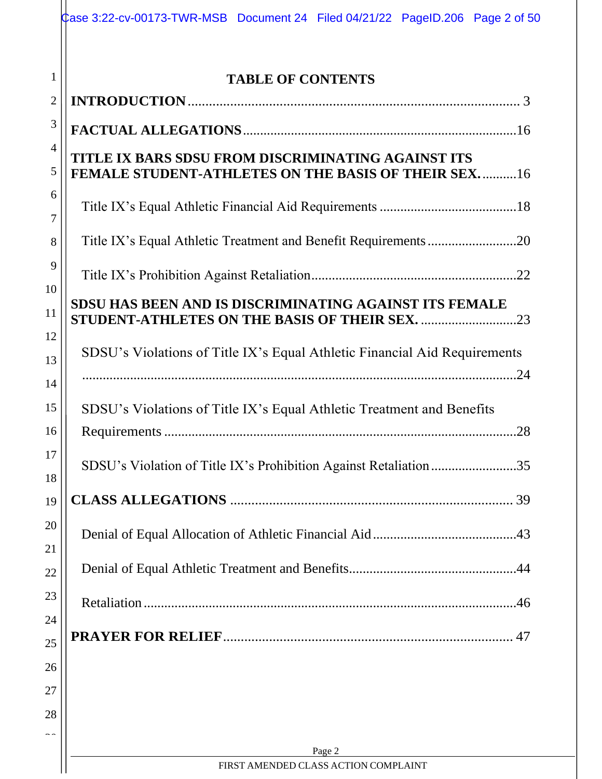|                | Case 3:22-cv-00173-TWR-MSB Document 24 Filed 04/21/22 PageID.206 Page 2 of 50                             |
|----------------|-----------------------------------------------------------------------------------------------------------|
| $\mathbf{1}$   |                                                                                                           |
| $\mathbf{2}$   | <b>TABLE OF CONTENTS</b>                                                                                  |
| 3              |                                                                                                           |
| $\overline{4}$ |                                                                                                           |
| 5              | TITLE IX BARS SDSU FROM DISCRIMINATING AGAINST ITS<br>FEMALE STUDENT-ATHLETES ON THE BASIS OF THEIR SEX16 |
| 6              |                                                                                                           |
| $\overline{7}$ |                                                                                                           |
| 8              |                                                                                                           |
| 9              |                                                                                                           |
| 10             | SDSU HAS BEEN AND IS DISCRIMINATING AGAINST ITS FEMALE                                                    |
| 11             |                                                                                                           |
| 12<br>13       | SDSU's Violations of Title IX's Equal Athletic Financial Aid Requirements                                 |
| 14             |                                                                                                           |
| 15             | SDSU's Violations of Title IX's Equal Athletic Treatment and Benefits                                     |
| 16             |                                                                                                           |
| 17             |                                                                                                           |
| 18             | SDSU's Violation of Title IX's Prohibition Against Retaliation35                                          |
| 19             |                                                                                                           |
| 20             |                                                                                                           |
| 21             |                                                                                                           |
| 22             |                                                                                                           |
| 23             |                                                                                                           |
| 24             |                                                                                                           |
| 25<br>26       |                                                                                                           |
| 27             |                                                                                                           |
| 28             |                                                                                                           |
|                |                                                                                                           |
|                | Page 2<br>FIRST AMENDED CLASS ACTION COMPLAINT                                                            |
|                |                                                                                                           |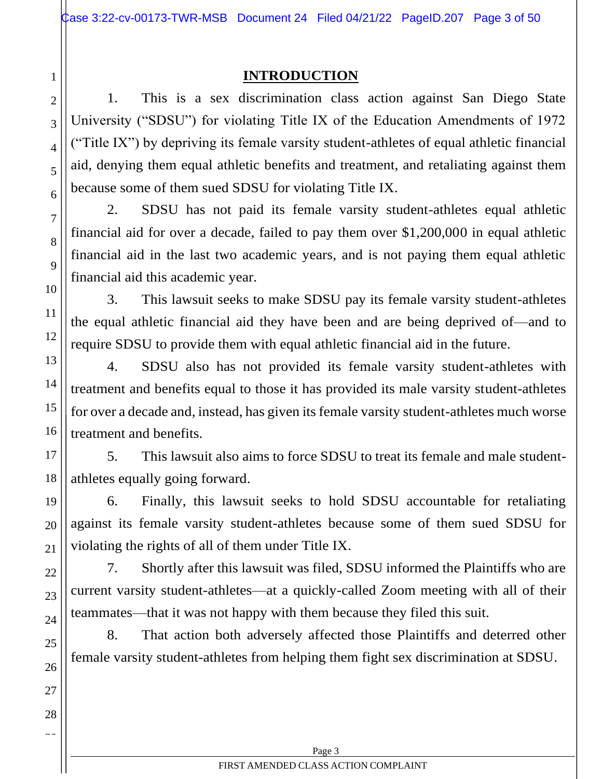## **INTRODUCTION**

1. This is a sex discrimination class action against San Diego State University ("SDSU") for violating Title IX of the Education Amendments of 1972 ("Title IX") by depriving its female varsity student-athletes of equal athletic financial aid, denying them equal athletic benefits and treatment, and retaliating against them because some of them sued SDSU for violating Title IX.

2. SDSU has not paid its female varsity student-athletes equal athletic financial aid for over a decade, failed to pay them over \$1,200,000 in equal athletic financial aid in the last two academic years, and is not paying them equal athletic financial aid this academic year.

3. This lawsuit seeks to make SDSU pay its female varsity student-athletes the equal athletic financial aid they have been and are being deprived of—and to require SDSU to provide them with equal athletic financial aid in the future.

4. SDSU also has not provided its female varsity student-athletes with treatment and benefits equal to those it has provided its male varsity student-athletes for over a decade and, instead, has given its female varsity student-athletes much worse treatment and benefits.

5. This lawsuit also aims to force SDSU to treat its female and male studentathletes equally going forward.

6. Finally, this lawsuit seeks to hold SDSU accountable for retaliating against its female varsity student-athletes because some of them sued SDSU for violating the rights of all of them under Title IX.

7. Shortly after this lawsuit was filed, SDSU informed the Plaintiffs who are current varsity student-athletes—at a quickly-called Zoom meeting with all of their teammates—that it was not happy with them because they filed this suit.

8. That action both adversely affected those Plaintiffs and deterred other female varsity student-athletes from helping them fight sex discrimination at SDSU.

<span id="page-2-0"></span>1

2

3

4

5

6

7

8

9

10

11

12

13

14

15

16

17

18

19

20

21

22

23

24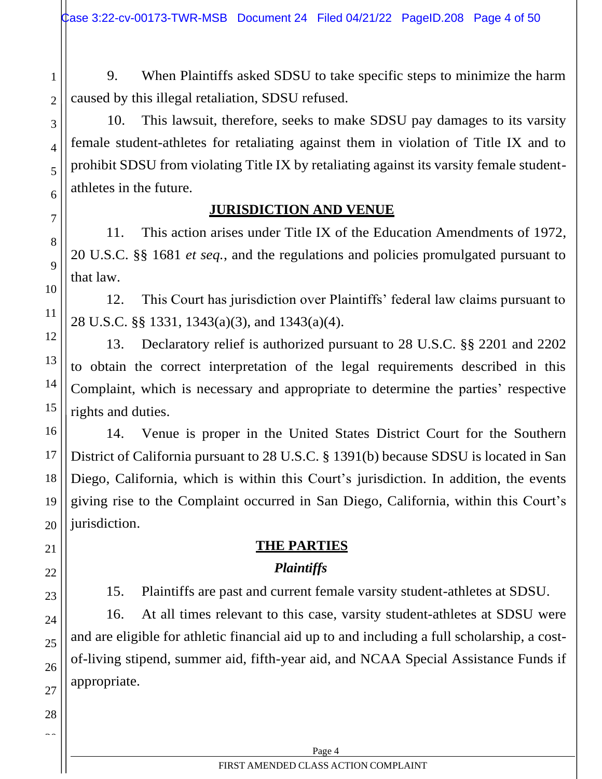2

3

4

5

6

7

8

9

10

11

12

13

14

15

16

17

18

19

20

21

22

23

24

25

26

27

28  $\sim$ 

9. When Plaintiffs asked SDSU to take specific steps to minimize the harm caused by this illegal retaliation, SDSU refused.

10. This lawsuit, therefore, seeks to make SDSU pay damages to its varsity female student-athletes for retaliating against them in violation of Title IX and to prohibit SDSU from violating Title IX by retaliating against its varsity female studentathletes in the future.

## **JURISDICTION AND VENUE**

11. This action arises under Title IX of the Education Amendments of 1972, 20 U.S.C. §§ 1681 *et seq.*, and the regulations and policies promulgated pursuant to that law.

12. This Court has jurisdiction over Plaintiffs' federal law claims pursuant to 28 U.S.C. §§ 1331, 1343(a)(3), and 1343(a)(4).

13. Declaratory relief is authorized pursuant to 28 U.S.C. §§ 2201 and 2202 to obtain the correct interpretation of the legal requirements described in this Complaint, which is necessary and appropriate to determine the parties' respective rights and duties.

14. Venue is proper in the United States District Court for the Southern District of California pursuant to 28 U.S.C. § 1391(b) because SDSU is located in San Diego, California, which is within this Court's jurisdiction. In addition, the events giving rise to the Complaint occurred in San Diego, California, within this Court's jurisdiction.

# **THE PARTIES**

# *Plaintiffs*

15. Plaintiffs are past and current female varsity student-athletes at SDSU.

16. At all times relevant to this case, varsity student-athletes at SDSU were and are eligible for athletic financial aid up to and including a full scholarship, a costof-living stipend, summer aid, fifth-year aid, and NCAA Special Assistance Funds if appropriate.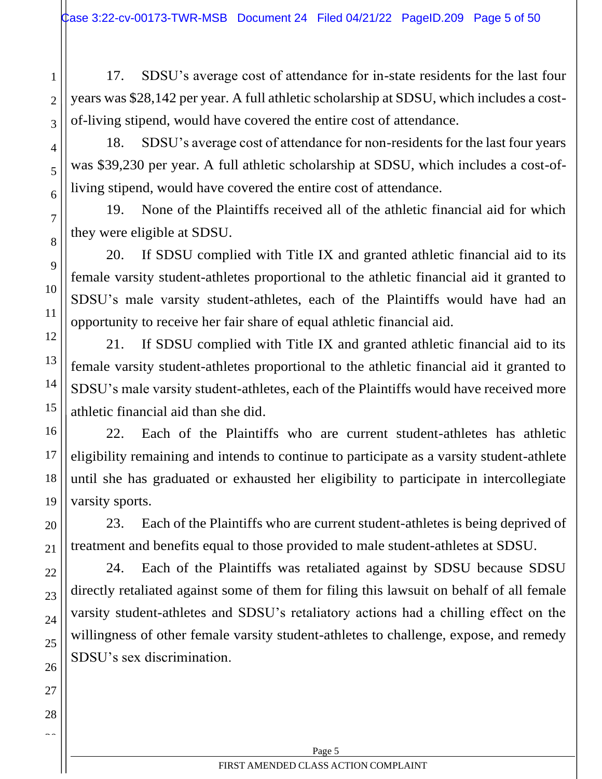17. SDSU's average cost of attendance for in-state residents for the last four years was \$28,142 per year. A full athletic scholarship at SDSU, which includes a costof-living stipend, would have covered the entire cost of attendance.

1

2

3

4

5

6

7

8

9

10

11

12

13

14

15

16

17

18

19

20

21

22

23

24

25

26

27

28  $\sim$ 

18. SDSU's average cost of attendance for non-residents for the last four years was \$39,230 per year. A full athletic scholarship at SDSU, which includes a cost-ofliving stipend, would have covered the entire cost of attendance.

19. None of the Plaintiffs received all of the athletic financial aid for which they were eligible at SDSU.

20. If SDSU complied with Title IX and granted athletic financial aid to its female varsity student-athletes proportional to the athletic financial aid it granted to SDSU's male varsity student-athletes, each of the Plaintiffs would have had an opportunity to receive her fair share of equal athletic financial aid.

21. If SDSU complied with Title IX and granted athletic financial aid to its female varsity student-athletes proportional to the athletic financial aid it granted to SDSU's male varsity student-athletes, each of the Plaintiffs would have received more athletic financial aid than she did.

22. Each of the Plaintiffs who are current student-athletes has athletic eligibility remaining and intends to continue to participate as a varsity student-athlete until she has graduated or exhausted her eligibility to participate in intercollegiate varsity sports.

23. Each of the Plaintiffs who are current student-athletes is being deprived of treatment and benefits equal to those provided to male student-athletes at SDSU.

24. Each of the Plaintiffs was retaliated against by SDSU because SDSU directly retaliated against some of them for filing this lawsuit on behalf of all female varsity student-athletes and SDSU's retaliatory actions had a chilling effect on the willingness of other female varsity student-athletes to challenge, expose, and remedy SDSU's sex discrimination.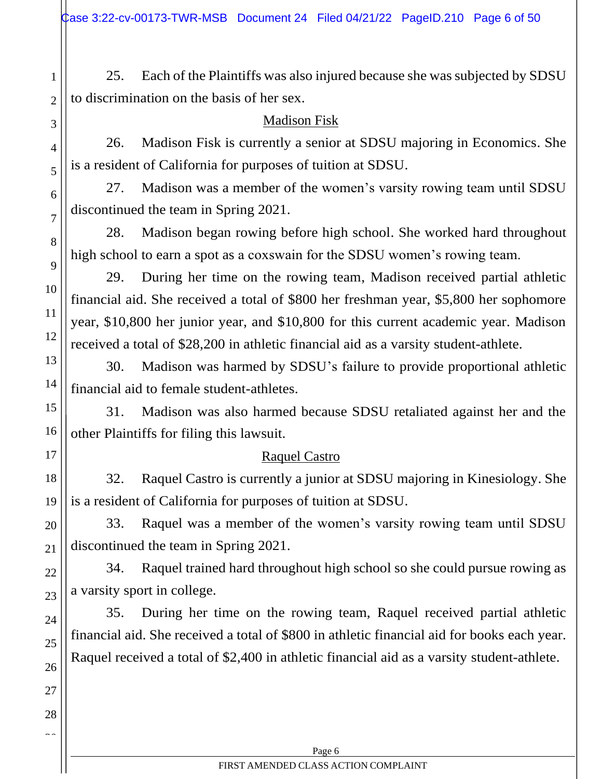25. Each of the Plaintiffs was also injured because she was subjected by SDSU to discrimination on the basis of her sex.

### Madison Fisk

1

2

3

4

5

6

7

8

9

10

11

12

13

14

15

16

17

18

19

20

21

22

23

24

25

26

27

28  $\sim$ 

26. Madison Fisk is currently a senior at SDSU majoring in Economics. She is a resident of California for purposes of tuition at SDSU.

27. Madison was a member of the women's varsity rowing team until SDSU discontinued the team in Spring 2021.

28. Madison began rowing before high school. She worked hard throughout high school to earn a spot as a coxswain for the SDSU women's rowing team.

29. During her time on the rowing team, Madison received partial athletic financial aid. She received a total of \$800 her freshman year, \$5,800 her sophomore year, \$10,800 her junior year, and \$10,800 for this current academic year. Madison received a total of \$28,200 in athletic financial aid as a varsity student-athlete.

30. Madison was harmed by SDSU's failure to provide proportional athletic financial aid to female student-athletes.

31. Madison was also harmed because SDSU retaliated against her and the other Plaintiffs for filing this lawsuit.

# Raquel Castro

32. Raquel Castro is currently a junior at SDSU majoring in Kinesiology. She is a resident of California for purposes of tuition at SDSU.

33. Raquel was a member of the women's varsity rowing team until SDSU discontinued the team in Spring 2021.

34. Raquel trained hard throughout high school so she could pursue rowing as a varsity sport in college.

35. During her time on the rowing team, Raquel received partial athletic financial aid. She received a total of \$800 in athletic financial aid for books each year. Raquel received a total of \$2,400 in athletic financial aid as a varsity student-athlete.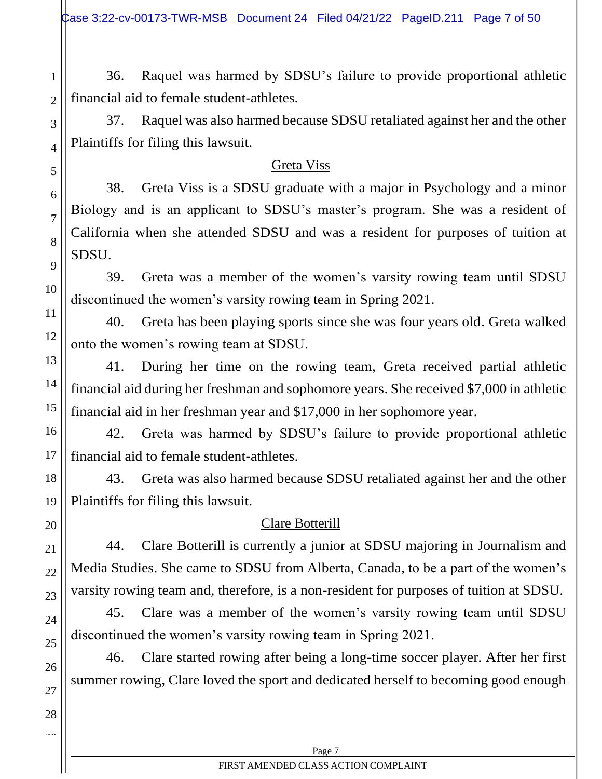2

3

4

5

6

7

8

9

10

11

12

13

14

15

16

17

18

19

20

21

22

23

24

25

26

27

28  $\sim$ 

36. Raquel was harmed by SDSU's failure to provide proportional athletic financial aid to female student-athletes.

37. Raquel was also harmed because SDSU retaliated against her and the other Plaintiffs for filing this lawsuit.

## Greta Viss

38. Greta Viss is a SDSU graduate with a major in Psychology and a minor Biology and is an applicant to SDSU's master's program. She was a resident of California when she attended SDSU and was a resident for purposes of tuition at SDSU.

39. Greta was a member of the women's varsity rowing team until SDSU discontinued the women's varsity rowing team in Spring 2021.

40. Greta has been playing sports since she was four years old. Greta walked onto the women's rowing team at SDSU.

41. During her time on the rowing team, Greta received partial athletic financial aid during her freshman and sophomore years. She received \$7,000 in athletic financial aid in her freshman year and \$17,000 in her sophomore year.

42. Greta was harmed by SDSU's failure to provide proportional athletic financial aid to female student-athletes.

43. Greta was also harmed because SDSU retaliated against her and the other Plaintiffs for filing this lawsuit.

Clare Botterill

44. Clare Botterill is currently a junior at SDSU majoring in Journalism and Media Studies. She came to SDSU from Alberta, Canada, to be a part of the women's varsity rowing team and, therefore, is a non-resident for purposes of tuition at SDSU.

45. Clare was a member of the women's varsity rowing team until SDSU discontinued the women's varsity rowing team in Spring 2021.

46. Clare started rowing after being a long-time soccer player. After her first summer rowing, Clare loved the sport and dedicated herself to becoming good enough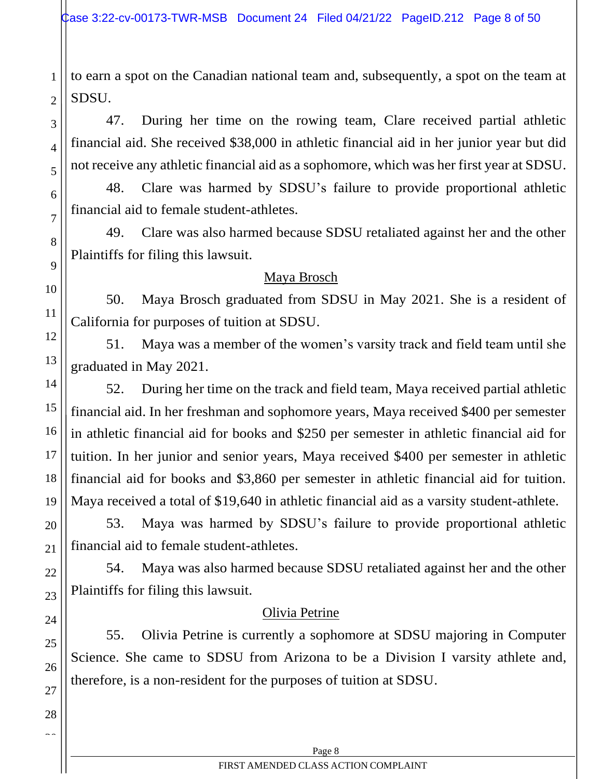to earn a spot on the Canadian national team and, subsequently, a spot on the team at SDSU.

47. During her time on the rowing team, Clare received partial athletic financial aid. She received \$38,000 in athletic financial aid in her junior year but did not receive any athletic financial aid as a sophomore, which was her first year at SDSU.

48. Clare was harmed by SDSU's failure to provide proportional athletic financial aid to female student-athletes.

49. Clare was also harmed because SDSU retaliated against her and the other Plaintiffs for filing this lawsuit.

## Maya Brosch

50. Maya Brosch graduated from SDSU in May 2021. She is a resident of California for purposes of tuition at SDSU.

51. Maya was a member of the women's varsity track and field team until she graduated in May 2021.

52. During her time on the track and field team, Maya received partial athletic financial aid. In her freshman and sophomore years, Maya received \$400 per semester in athletic financial aid for books and \$250 per semester in athletic financial aid for tuition. In her junior and senior years, Maya received \$400 per semester in athletic financial aid for books and \$3,860 per semester in athletic financial aid for tuition. Maya received a total of \$19,640 in athletic financial aid as a varsity student-athlete.

53. Maya was harmed by SDSU's failure to provide proportional athletic financial aid to female student-athletes.

54. Maya was also harmed because SDSU retaliated against her and the other Plaintiffs for filing this lawsuit.

## Olivia Petrine

55. Olivia Petrine is currently a sophomore at SDSU majoring in Computer Science. She came to SDSU from Arizona to be a Division I varsity athlete and, therefore, is a non-resident for the purposes of tuition at SDSU.

1

2

3

4

5

6

7

8

9

10

11

12

13

14

15

16

17

18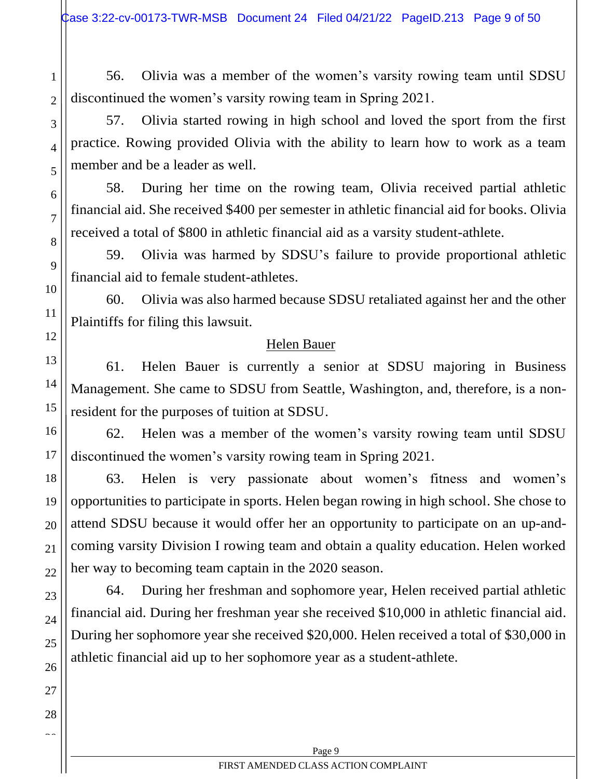56. Olivia was a member of the women's varsity rowing team until SDSU discontinued the women's varsity rowing team in Spring 2021.

57. Olivia started rowing in high school and loved the sport from the first practice. Rowing provided Olivia with the ability to learn how to work as a team member and be a leader as well.

58. During her time on the rowing team, Olivia received partial athletic financial aid. She received \$400 per semester in athletic financial aid for books. Olivia received a total of \$800 in athletic financial aid as a varsity student-athlete.

59. Olivia was harmed by SDSU's failure to provide proportional athletic financial aid to female student-athletes.

60. Olivia was also harmed because SDSU retaliated against her and the other Plaintiffs for filing this lawsuit.

## Helen Bauer

61. Helen Bauer is currently a senior at SDSU majoring in Business Management. She came to SDSU from Seattle, Washington, and, therefore, is a nonresident for the purposes of tuition at SDSU.

62. Helen was a member of the women's varsity rowing team until SDSU discontinued the women's varsity rowing team in Spring 2021.

63. Helen is very passionate about women's fitness and women's opportunities to participate in sports. Helen began rowing in high school. She chose to attend SDSU because it would offer her an opportunity to participate on an up-andcoming varsity Division I rowing team and obtain a quality education. Helen worked her way to becoming team captain in the 2020 season.

64. During her freshman and sophomore year, Helen received partial athletic financial aid. During her freshman year she received \$10,000 in athletic financial aid. During her sophomore year she received \$20,000. Helen received a total of \$30,000 in athletic financial aid up to her sophomore year as a student-athlete.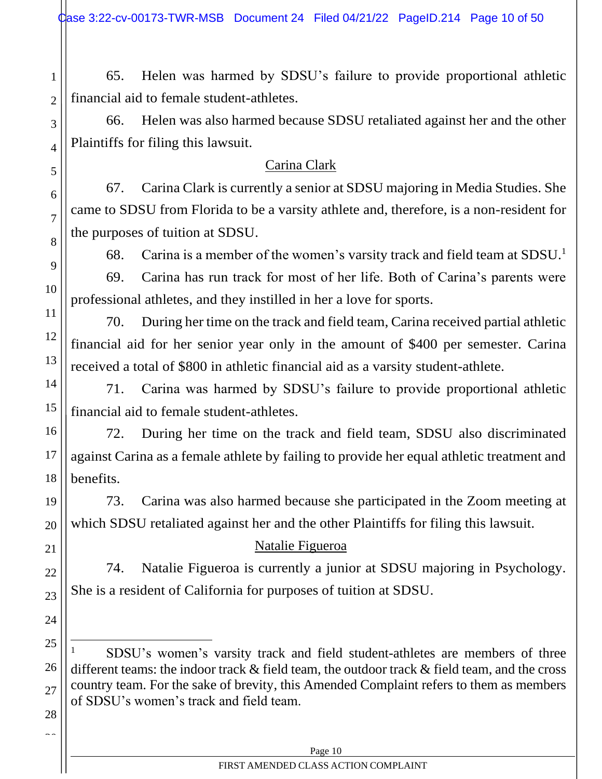2

3

4

5

6

7

8

9

10

11

12

13

14

15

16

17

18

19

20

21

22

23

24

25

26

27

28  $\sim$ 

65. Helen was harmed by SDSU's failure to provide proportional athletic financial aid to female student-athletes.

66. Helen was also harmed because SDSU retaliated against her and the other Plaintiffs for filing this lawsuit.

# Carina Clark

67. Carina Clark is currently a senior at SDSU majoring in Media Studies. She came to SDSU from Florida to be a varsity athlete and, therefore, is a non-resident for the purposes of tuition at SDSU.

68. Carina is a member of the women's varsity track and field team at  $SDSU<sup>1</sup>$ .

69. Carina has run track for most of her life. Both of Carina's parents were professional athletes, and they instilled in her a love for sports.

70. During her time on the track and field team, Carina received partial athletic financial aid for her senior year only in the amount of \$400 per semester. Carina received a total of \$800 in athletic financial aid as a varsity student-athlete.

71. Carina was harmed by SDSU's failure to provide proportional athletic financial aid to female student-athletes.

72. During her time on the track and field team, SDSU also discriminated against Carina as a female athlete by failing to provide her equal athletic treatment and benefits.

73. Carina was also harmed because she participated in the Zoom meeting at which SDSU retaliated against her and the other Plaintiffs for filing this lawsuit.

# Natalie Figueroa

74. Natalie Figueroa is currently a junior at SDSU majoring in Psychology. She is a resident of California for purposes of tuition at SDSU.

<sup>1</sup> SDSU's women's varsity track and field student-athletes are members of three different teams: the indoor track & field team, the outdoor track & field team, and the cross country team. For the sake of brevity, this Amended Complaint refers to them as members of SDSU's women's track and field team.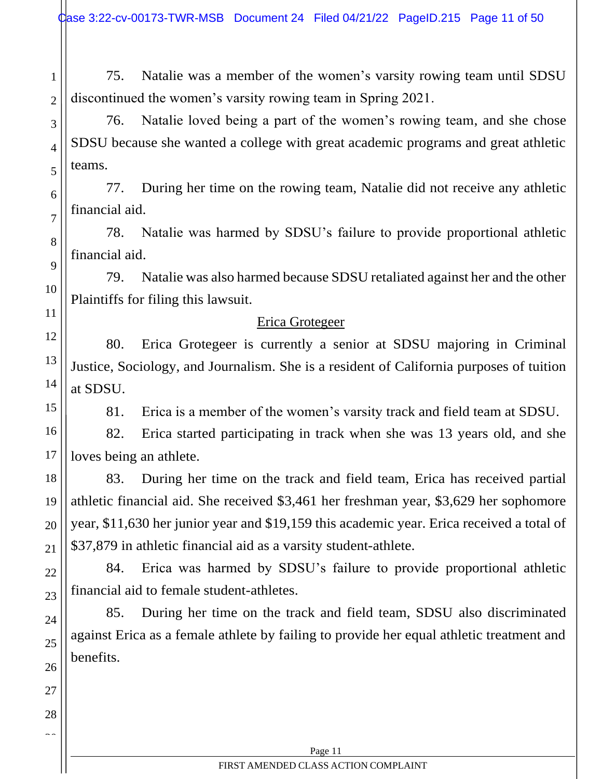1 2 75. Natalie was a member of the women's varsity rowing team until SDSU discontinued the women's varsity rowing team in Spring 2021.

76. Natalie loved being a part of the women's rowing team, and she chose SDSU because she wanted a college with great academic programs and great athletic teams.

3

4

5

6

7

8

9

10

11

12

13

14

15

16

17

18

19

20

21

22

23

24

25

26

27

28  $\sim$ 

77. During her time on the rowing team, Natalie did not receive any athletic financial aid.

78. Natalie was harmed by SDSU's failure to provide proportional athletic financial aid.

79. Natalie was also harmed because SDSU retaliated against her and the other Plaintiffs for filing this lawsuit.

### Erica Grotegeer

80. Erica Grotegeer is currently a senior at SDSU majoring in Criminal Justice, Sociology, and Journalism. She is a resident of California purposes of tuition at SDSU.

81. Erica is a member of the women's varsity track and field team at SDSU.

82. Erica started participating in track when she was 13 years old, and she loves being an athlete.

83. During her time on the track and field team, Erica has received partial athletic financial aid. She received \$3,461 her freshman year, \$3,629 her sophomore year, \$11,630 her junior year and \$19,159 this academic year. Erica received a total of \$37,879 in athletic financial aid as a varsity student-athlete.

84. Erica was harmed by SDSU's failure to provide proportional athletic financial aid to female student-athletes.

85. During her time on the track and field team, SDSU also discriminated against Erica as a female athlete by failing to provide her equal athletic treatment and benefits.

Page 11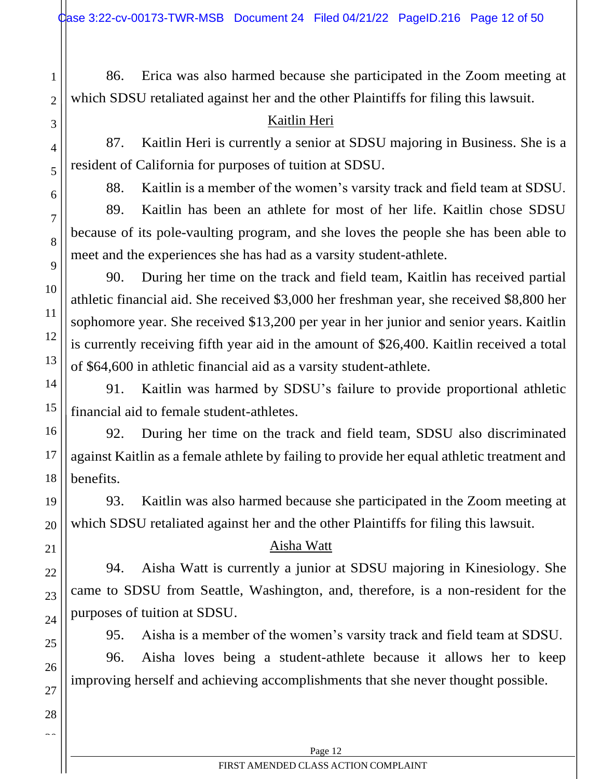86. Erica was also harmed because she participated in the Zoom meeting at which SDSU retaliated against her and the other Plaintiffs for filing this lawsuit.

# Kaitlin Heri

1

2

3

4

5

6

7

8

9

10

11

12

13

14

15

16

17

18

19

20

21

22

23

24

25

26

27

28  $\sim$ 

87. Kaitlin Heri is currently a senior at SDSU majoring in Business. She is a resident of California for purposes of tuition at SDSU.

88. Kaitlin is a member of the women's varsity track and field team at SDSU.

89. Kaitlin has been an athlete for most of her life. Kaitlin chose SDSU because of its pole-vaulting program, and she loves the people she has been able to meet and the experiences she has had as a varsity student-athlete.

90. During her time on the track and field team, Kaitlin has received partial athletic financial aid. She received \$3,000 her freshman year, she received \$8,800 her sophomore year. She received \$13,200 per year in her junior and senior years. Kaitlin is currently receiving fifth year aid in the amount of \$26,400. Kaitlin received a total of \$64,600 in athletic financial aid as a varsity student-athlete.

91. Kaitlin was harmed by SDSU's failure to provide proportional athletic financial aid to female student-athletes.

92. During her time on the track and field team, SDSU also discriminated against Kaitlin as a female athlete by failing to provide her equal athletic treatment and benefits.

93. Kaitlin was also harmed because she participated in the Zoom meeting at which SDSU retaliated against her and the other Plaintiffs for filing this lawsuit.

# Aisha Watt

94. Aisha Watt is currently a junior at SDSU majoring in Kinesiology. She came to SDSU from Seattle, Washington, and, therefore, is a non-resident for the purposes of tuition at SDSU.

95. Aisha is a member of the women's varsity track and field team at SDSU.

96. Aisha loves being a student-athlete because it allows her to keep improving herself and achieving accomplishments that she never thought possible.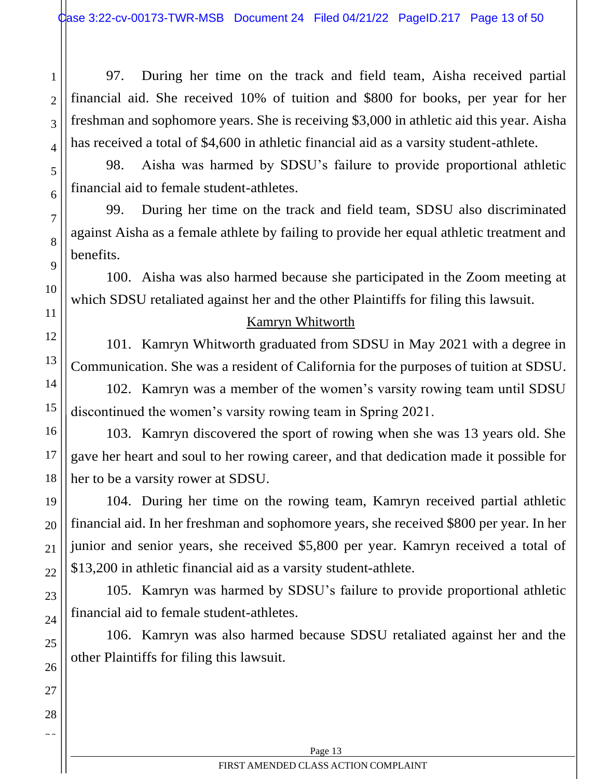97. During her time on the track and field team, Aisha received partial financial aid. She received 10% of tuition and \$800 for books, per year for her freshman and sophomore years. She is receiving \$3,000 in athletic aid this year. Aisha has received a total of \$4,600 in athletic financial aid as a varsity student-athlete.

98. Aisha was harmed by SDSU's failure to provide proportional athletic financial aid to female student-athletes.

99. During her time on the track and field team, SDSU also discriminated against Aisha as a female athlete by failing to provide her equal athletic treatment and benefits.

100. Aisha was also harmed because she participated in the Zoom meeting at which SDSU retaliated against her and the other Plaintiffs for filing this lawsuit.

## Kamryn Whitworth

101. Kamryn Whitworth graduated from SDSU in May 2021 with a degree in Communication. She was a resident of California for the purposes of tuition at SDSU.

102. Kamryn was a member of the women's varsity rowing team until SDSU discontinued the women's varsity rowing team in Spring 2021.

103. Kamryn discovered the sport of rowing when she was 13 years old. She gave her heart and soul to her rowing career, and that dedication made it possible for her to be a varsity rower at SDSU.

104. During her time on the rowing team, Kamryn received partial athletic financial aid. In her freshman and sophomore years, she received \$800 per year. In her junior and senior years, she received \$5,800 per year. Kamryn received a total of \$13,200 in athletic financial aid as a varsity student-athlete.

105. Kamryn was harmed by SDSU's failure to provide proportional athletic financial aid to female student-athletes.

106. Kamryn was also harmed because SDSU retaliated against her and the other Plaintiffs for filing this lawsuit.

1

2

3

4

5

6

7

8

9

10

11

12

13

14

15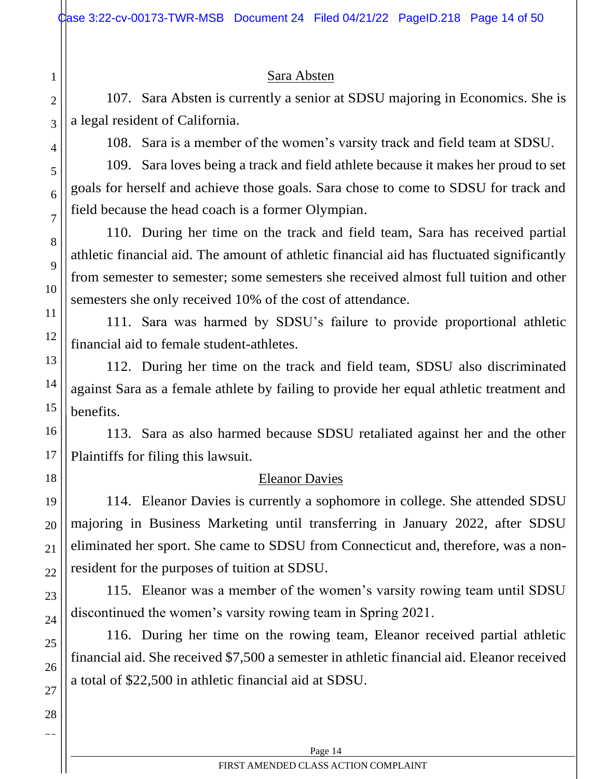### Sara Absten

107. Sara Absten is currently a senior at SDSU majoring in Economics. She is a legal resident of California.

108. Sara is a member of the women's varsity track and field team at SDSU.

109. Sara loves being a track and field athlete because it makes her proud to set goals for herself and achieve those goals. Sara chose to come to SDSU for track and field because the head coach is a former Olympian.

110. During her time on the track and field team, Sara has received partial athletic financial aid. The amount of athletic financial aid has fluctuated significantly from semester to semester; some semesters she received almost full tuition and other semesters she only received 10% of the cost of attendance.

111. Sara was harmed by SDSU's failure to provide proportional athletic financial aid to female student-athletes.

112. During her time on the track and field team, SDSU also discriminated against Sara as a female athlete by failing to provide her equal athletic treatment and benefits.

113. Sara as also harmed because SDSU retaliated against her and the other Plaintiffs for filing this lawsuit.

## Eleanor Davies

114. Eleanor Davies is currently a sophomore in college. She attended SDSU majoring in Business Marketing until transferring in January 2022, after SDSU eliminated her sport. She came to SDSU from Connecticut and, therefore, was a nonresident for the purposes of tuition at SDSU.

115. Eleanor was a member of the women's varsity rowing team until SDSU discontinued the women's varsity rowing team in Spring 2021.

116. During her time on the rowing team, Eleanor received partial athletic financial aid. She received \$7,500 a semester in athletic financial aid. Eleanor received a total of \$22,500 in athletic financial aid at SDSU.

1

2

3

4

5

6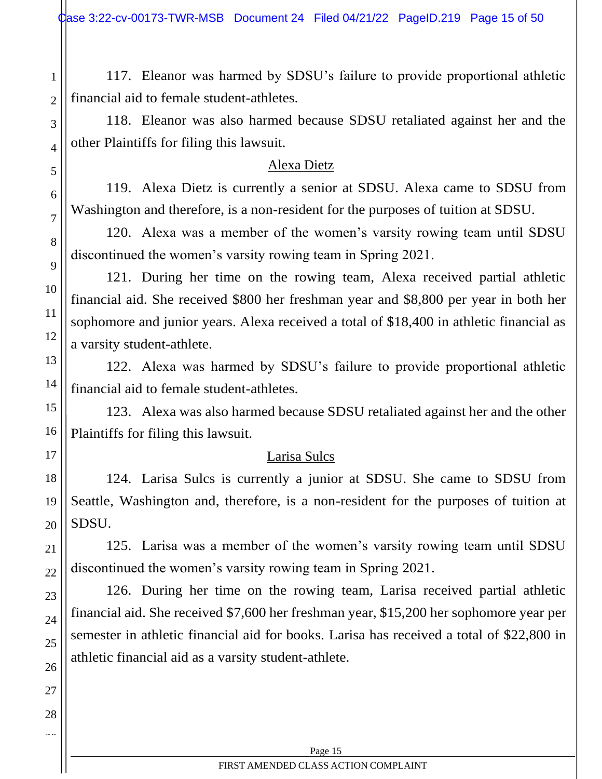117. Eleanor was harmed by SDSU's failure to provide proportional athletic financial aid to female student-athletes.

118. Eleanor was also harmed because SDSU retaliated against her and the other Plaintiffs for filing this lawsuit.

### Alexa Dietz

119. Alexa Dietz is currently a senior at SDSU. Alexa came to SDSU from Washington and therefore, is a non-resident for the purposes of tuition at SDSU.

120. Alexa was a member of the women's varsity rowing team until SDSU discontinued the women's varsity rowing team in Spring 2021.

121. During her time on the rowing team, Alexa received partial athletic financial aid. She received \$800 her freshman year and \$8,800 per year in both her sophomore and junior years. Alexa received a total of \$18,400 in athletic financial as a varsity student-athlete.

122. Alexa was harmed by SDSU's failure to provide proportional athletic financial aid to female student-athletes.

123. Alexa was also harmed because SDSU retaliated against her and the other Plaintiffs for filing this lawsuit.

### Larisa Sulcs

124. Larisa Sulcs is currently a junior at SDSU. She came to SDSU from Seattle, Washington and, therefore, is a non-resident for the purposes of tuition at SDSU.

125. Larisa was a member of the women's varsity rowing team until SDSU discontinued the women's varsity rowing team in Spring 2021.

126. During her time on the rowing team, Larisa received partial athletic financial aid. She received \$7,600 her freshman year, \$15,200 her sophomore year per semester in athletic financial aid for books. Larisa has received a total of \$22,800 in athletic financial aid as a varsity student-athlete.

1

2

3

4

5

6

7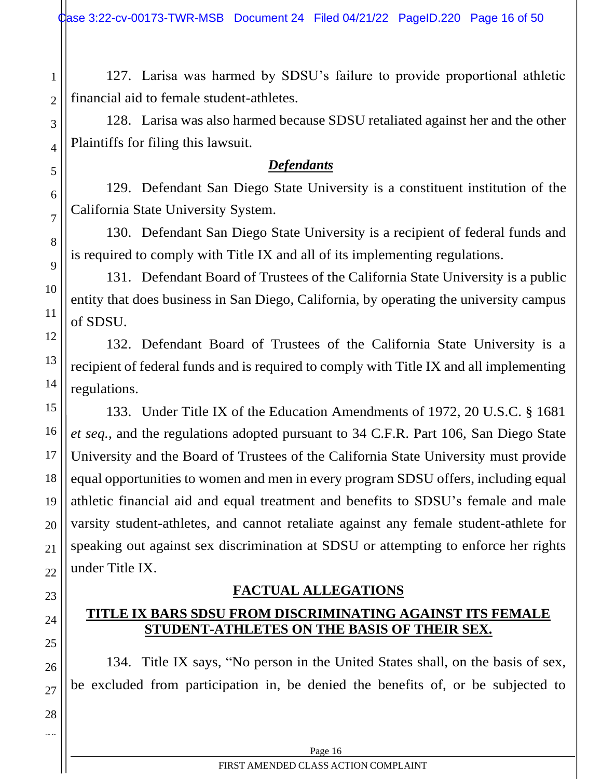127. Larisa was harmed by SDSU's failure to provide proportional athletic financial aid to female student-athletes.

128. Larisa was also harmed because SDSU retaliated against her and the other Plaintiffs for filing this lawsuit.

## *Defendants*

129. Defendant San Diego State University is a constituent institution of the California State University System.

130. Defendant San Diego State University is a recipient of federal funds and is required to comply with Title IX and all of its implementing regulations.

131. Defendant Board of Trustees of the California State University is a public entity that does business in San Diego, California, by operating the university campus of SDSU.

132. Defendant Board of Trustees of the California State University is a recipient of federal funds and is required to comply with Title IX and all implementing regulations.

133. Under Title IX of the Education Amendments of 1972, 20 U.S.C. § 1681 *et seq.*, and the regulations adopted pursuant to 34 C.F.R. Part 106, San Diego State University and the Board of Trustees of the California State University must provide equal opportunities to women and men in every program SDSU offers, including equal athletic financial aid and equal treatment and benefits to SDSU's female and male varsity student-athletes, and cannot retaliate against any female student-athlete for speaking out against sex discrimination at SDSU or attempting to enforce her rights under Title IX.

# **FACTUAL ALLEGATIONS**

# <span id="page-15-1"></span><span id="page-15-0"></span>**TITLE IX BARS SDSU FROM DISCRIMINATING AGAINST ITS FEMALE STUDENT-ATHLETES ON THE BASIS OF THEIR SEX.**

134. Title IX says, "No person in the United States shall, on the basis of sex, be excluded from participation in, be denied the benefits of, or be subjected to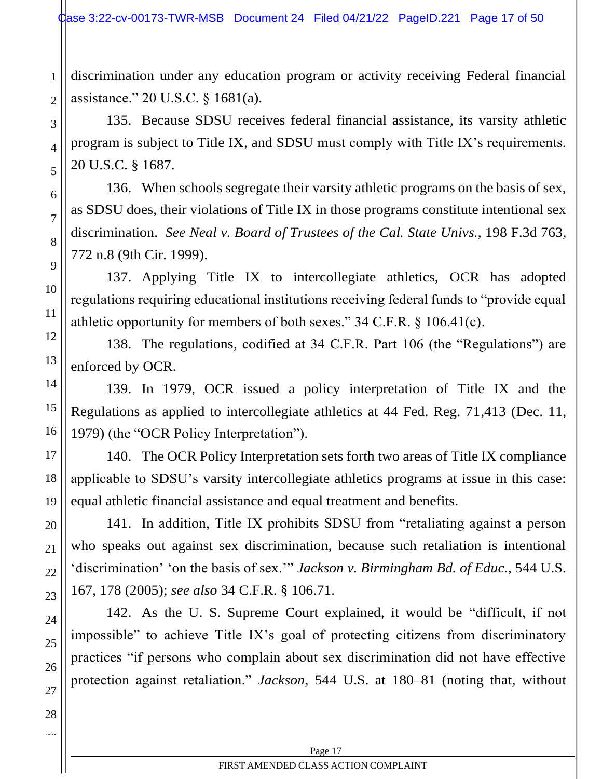discrimination under any education program or activity receiving Federal financial assistance." 20 U.S.C. § 1681(a).

1

2

3

4

5

6

7

8

9

10

11

12

13

14

15

16

17

18

19

20

21

22

23

24

25

26

27

28  $\sim$ 

135. Because SDSU receives federal financial assistance, its varsity athletic program is subject to Title IX, and SDSU must comply with Title IX's requirements. 20 U.S.C. § 1687.

136. When schools segregate their varsity athletic programs on the basis of sex, as SDSU does, their violations of Title IX in those programs constitute intentional sex discrimination. *See Neal v. Board of Trustees of the Cal. State Univs.*, 198 F.3d 763, 772 n.8 (9th Cir. 1999).

137. Applying Title IX to intercollegiate athletics, OCR has adopted regulations requiring educational institutions receiving federal funds to "provide equal athletic opportunity for members of both sexes." 34 C.F.R. § 106.41(c).

138. The regulations, codified at 34 C.F.R. Part 106 (the "Regulations") are enforced by OCR.

139. In 1979, OCR issued a policy interpretation of Title IX and the Regulations as applied to intercollegiate athletics at 44 Fed. Reg. 71,413 (Dec. 11, 1979) (the "OCR Policy Interpretation").

140. The OCR Policy Interpretation sets forth two areas of Title IX compliance applicable to SDSU's varsity intercollegiate athletics programs at issue in this case: equal athletic financial assistance and equal treatment and benefits.

141. In addition, Title IX prohibits SDSU from "retaliating against a person who speaks out against sex discrimination, because such retaliation is intentional 'discrimination' 'on the basis of sex.'" *Jackson v. Birmingham Bd. of Educ.*, 544 U.S. 167, 178 (2005); *see also* 34 C.F.R. § 106.71.

142. As the U. S. Supreme Court explained, it would be "difficult, if not impossible" to achieve Title IX's goal of protecting citizens from discriminatory practices "if persons who complain about sex discrimination did not have effective protection against retaliation." *Jackson*, 544 U.S. at 180–81 (noting that, without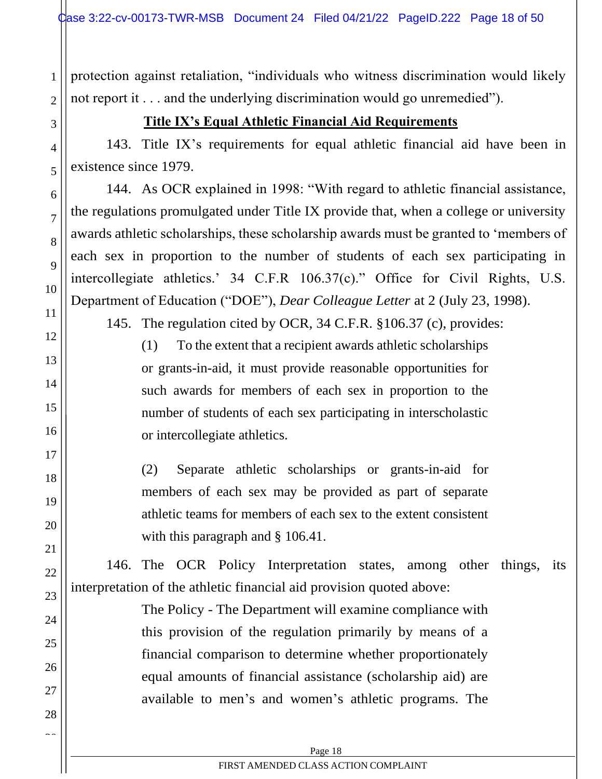protection against retaliation, "individuals who witness discrimination would likely not report it . . . and the underlying discrimination would go unremedied").

# **Title IX's Equal Athletic Financial Aid Requirements**

1

<span id="page-17-0"></span>2

3

4

5

6

7

8

9

10

11

12

13

14

15

16

17

18

19

20

21

22

23

24

25

26

27

28  $\sim$ 

143. Title IX's requirements for equal athletic financial aid have been in existence since 1979.

144. As OCR explained in 1998: "With regard to athletic financial assistance, the regulations promulgated under Title IX provide that, when a college or university awards athletic scholarships, these scholarship awards must be granted to 'members of each sex in proportion to the number of students of each sex participating in intercollegiate athletics.' 34 C.F.R 106.37(c)." Office for Civil Rights, U.S. Department of Education ("DOE"), *Dear Colleague Letter* at 2 (July 23, 1998).

145. The regulation cited by OCR, 34 C.F.R. §106.37 (c), provides:

(1) To the extent that a recipient awards athletic scholarships or grants-in-aid, it must provide reasonable opportunities for such awards for members of each sex in proportion to the number of students of each sex participating in interscholastic or intercollegiate athletics.

(2) Separate athletic scholarships or grants-in-aid for members of each sex may be provided as part of separate athletic teams for members of each sex to the extent consistent with this paragraph and § 106.41.

146. The OCR Policy Interpretation states, among other things, its interpretation of the athletic financial aid provision quoted above:

> The Policy - The Department will examine compliance with this provision of the regulation primarily by means of a financial comparison to determine whether proportionately equal amounts of financial assistance (scholarship aid) are available to men's and women's athletic programs. The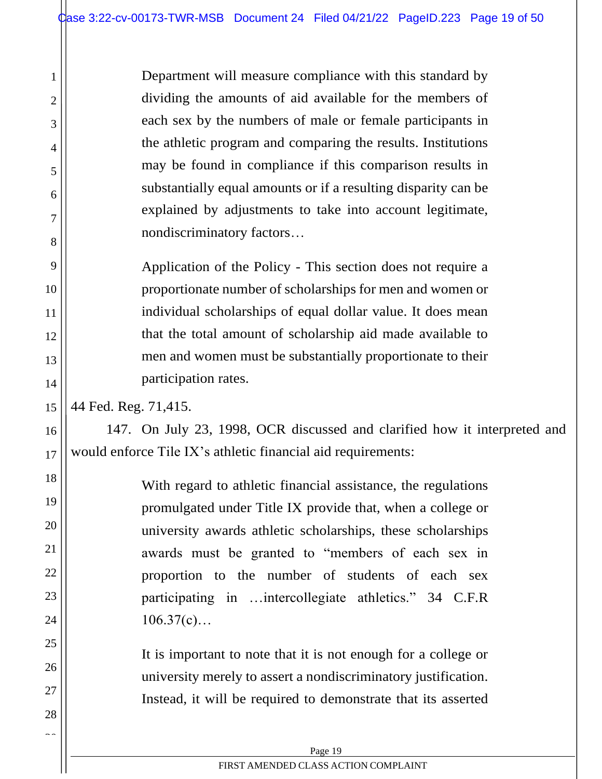Department will measure compliance with this standard by dividing the amounts of aid available for the members of each sex by the numbers of male or female participants in the athletic program and comparing the results. Institutions may be found in compliance if this comparison results in substantially equal amounts or if a resulting disparity can be explained by adjustments to take into account legitimate, nondiscriminatory factors…

Application of the Policy - This section does not require a proportionate number of scholarships for men and women or individual scholarships of equal dollar value. It does mean that the total amount of scholarship aid made available to men and women must be substantially proportionate to their participation rates.

44 Fed. Reg. 71,415.

1

2

3

4

5

6

7

8

9

10

11

12

13

14

15

16

17

18

19

20

21

22

23

24

25

26

27

28  $\sim$ 

147. On July 23, 1998, OCR discussed and clarified how it interpreted and would enforce Tile IX's athletic financial aid requirements:

> With regard to athletic financial assistance, the regulations promulgated under Title IX provide that, when a college or university awards athletic scholarships, these scholarships awards must be granted to "members of each sex in proportion to the number of students of each sex participating in …intercollegiate athletics." 34 C.F.R  $106.37(c)...$

> It is important to note that it is not enough for a college or university merely to assert a nondiscriminatory justification. Instead, it will be required to demonstrate that its asserted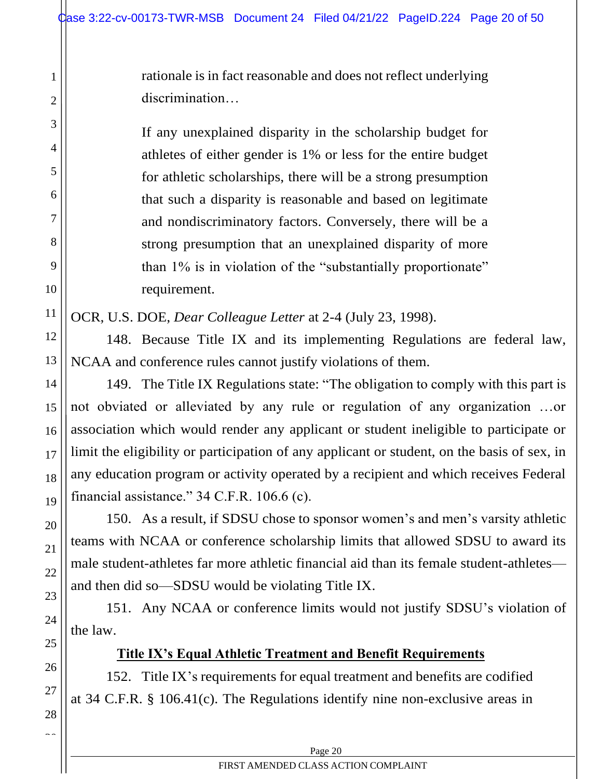rationale is in fact reasonable and does not reflect underlying discrimination…

If any unexplained disparity in the scholarship budget for athletes of either gender is 1% or less for the entire budget for athletic scholarships, there will be a strong presumption that such a disparity is reasonable and based on legitimate and nondiscriminatory factors. Conversely, there will be a strong presumption that an unexplained disparity of more than 1% is in violation of the "substantially proportionate" requirement.

OCR, U.S. DOE, *Dear Colleague Letter* at 2-4 (July 23, 1998).

148. Because Title IX and its implementing Regulations are federal law, NCAA and conference rules cannot justify violations of them.

149. The Title IX Regulations state: "The obligation to comply with this part is not obviated or alleviated by any rule or regulation of any organization …or association which would render any applicant or student ineligible to participate or limit the eligibility or participation of any applicant or student, on the basis of sex, in any education program or activity operated by a recipient and which receives Federal financial assistance." 34 C.F.R. 106.6 (c).

150. As a result, if SDSU chose to sponsor women's and men's varsity athletic teams with NCAA or conference scholarship limits that allowed SDSU to award its male student-athletes far more athletic financial aid than its female student-athletes and then did so—SDSU would be violating Title IX.

151. Any NCAA or conference limits would not justify SDSU's violation of the law.

# **Title IX's Equal Athletic Treatment and Benefit Requirements**

<span id="page-19-0"></span>152. Title IX's requirements for equal treatment and benefits are codified at 34 C.F.R. § 106.41(c). The Regulations identify nine non-exclusive areas in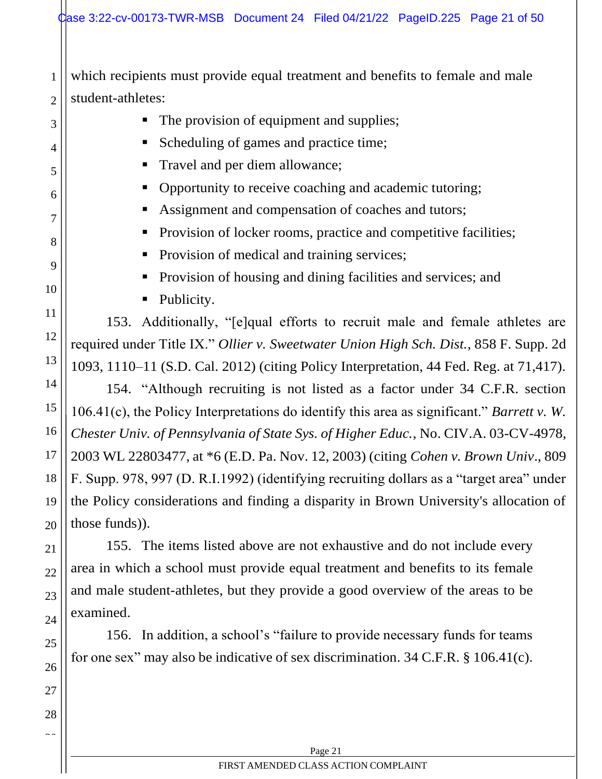which recipients must provide equal treatment and benefits to female and male student-athletes:

- The provision of equipment and supplies;
- Scheduling of games and practice time;
- Travel and per diem allowance;
- Opportunity to receive coaching and academic tutoring;
- Assignment and compensation of coaches and tutors;
- Provision of locker rooms, practice and competitive facilities;
- **•** Provision of medical and training services;
- **•** Provision of housing and dining facilities and services; and
- Publicity.

153. Additionally, "[e]qual efforts to recruit male and female athletes are required under Title IX." *Ollier v. Sweetwater Union High Sch. Dist.*, 858 F. Supp. 2d 1093, 1110–11 (S.D. Cal. 2012) (citing Policy Interpretation, 44 Fed. Reg. at 71,417).

154. "Although recruiting is not listed as a factor under 34 C.F.R. section 106.41(c), the Policy Interpretations do identify this area as significant." *Barrett v. W. Chester Univ. of Pennsylvania of State Sys. of Higher Educ.*, No. CIV.A. 03-CV-4978, 2003 WL 22803477, at \*6 (E.D. Pa. Nov. 12, 2003) (citing *Cohen v. Brown Univ*., 809 F. Supp. 978, 997 (D. R.I.1992) (identifying recruiting dollars as a "target area" under the Policy considerations and finding a disparity in Brown University's allocation of those funds)).

155. The items listed above are not exhaustive and do not include every area in which a school must provide equal treatment and benefits to its female and male student-athletes, but they provide a good overview of the areas to be examined.

156. In addition, a school's "failure to provide necessary funds for teams for one sex" may also be indicative of sex discrimination. 34 C.F.R. § 106.41(c).

1

2

3

4

5

6

7

8

9

10

11

12

13

14

15

16

17

18

19

20

21

22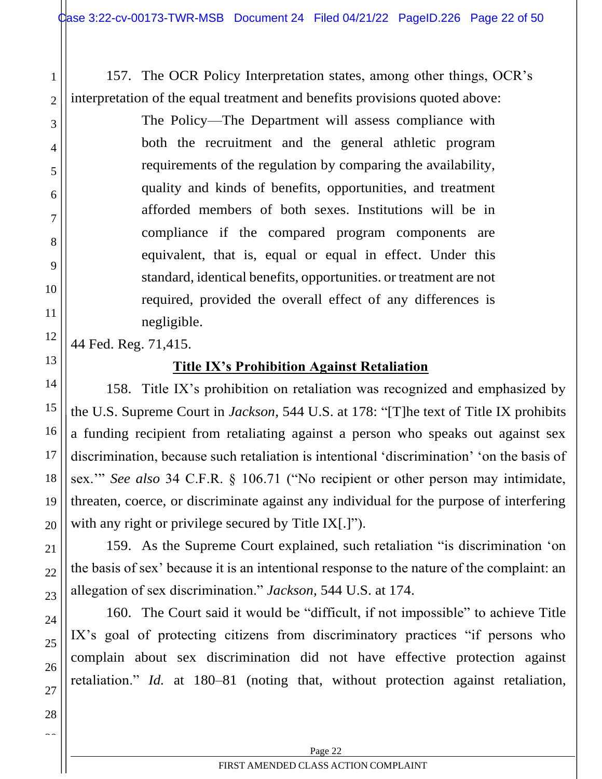157. The OCR Policy Interpretation states, among other things, OCR's interpretation of the equal treatment and benefits provisions quoted above:

> The Policy—The Department will assess compliance with both the recruitment and the general athletic program requirements of the regulation by comparing the availability, quality and kinds of benefits, opportunities, and treatment afforded members of both sexes. Institutions will be in compliance if the compared program components are equivalent, that is, equal or equal in effect. Under this standard, identical benefits, opportunities. or treatment are not required, provided the overall effect of any differences is negligible.

<span id="page-21-0"></span>44 Fed. Reg. 71,415.

1

2

3

4

5

6

7

8

9

10

11

12

13

14

15

16

17

18

19

20

21

22

23

24

25

26

27

28  $\sim$ 

# **Title IX's Prohibition Against Retaliation**

158. Title IX's prohibition on retaliation was recognized and emphasized by the U.S. Supreme Court in *Jackson*, 544 U.S. at 178: "[T]he text of Title IX prohibits a funding recipient from retaliating against a person who speaks out against sex discrimination, because such retaliation is intentional 'discrimination' 'on the basis of sex.'" *See also* 34 C.F.R. § 106.71 ("No recipient or other person may intimidate, threaten, coerce, or discriminate against any individual for the purpose of interfering with any right or privilege secured by Title IX[.]").

159. As the Supreme Court explained, such retaliation "is discrimination 'on the basis of sex' because it is an intentional response to the nature of the complaint: an allegation of sex discrimination." *Jackson*, 544 U.S. at 174.

160. The Court said it would be "difficult, if not impossible" to achieve Title IX's goal of protecting citizens from discriminatory practices "if persons who complain about sex discrimination did not have effective protection against retaliation." *Id.* at 180–81 (noting that, without protection against retaliation,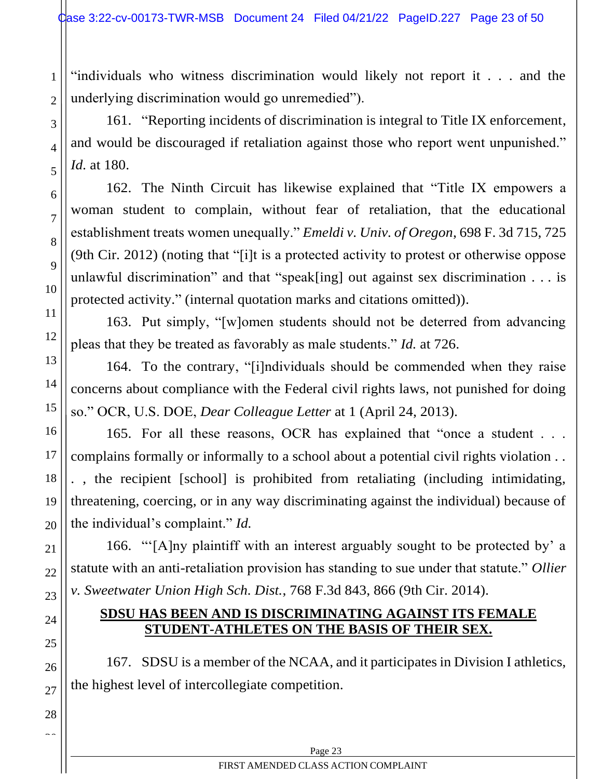"individuals who witness discrimination would likely not report it . . . and the underlying discrimination would go unremedied").

161. "Reporting incidents of discrimination is integral to Title IX enforcement, and would be discouraged if retaliation against those who report went unpunished." *Id.* at 180.

162. The Ninth Circuit has likewise explained that "Title IX empowers a woman student to complain, without fear of retaliation, that the educational establishment treats women unequally." *Emeldi v. Univ. of Oregon*, 698 F. 3d 715, 725 (9th Cir. 2012) (noting that "[i]t is a protected activity to protest or otherwise oppose unlawful discrimination" and that "speak[ing] out against sex discrimination . . . is protected activity." (internal quotation marks and citations omitted)).

163. Put simply, "[w]omen students should not be deterred from advancing pleas that they be treated as favorably as male students." *Id.* at 726.

164. To the contrary, "[i]ndividuals should be commended when they raise concerns about compliance with the Federal civil rights laws, not punished for doing so." OCR, U.S. DOE, *Dear Colleague Letter* at 1 (April 24, 2013).

165. For all these reasons, OCR has explained that "once a student . . . complains formally or informally to a school about a potential civil rights violation . . . , the recipient [school] is prohibited from retaliating (including intimidating, threatening, coercing, or in any way discriminating against the individual) because of the individual's complaint." *Id.*

166. "'[A]ny plaintiff with an interest arguably sought to be protected by' a statute with an anti-retaliation provision has standing to sue under that statute." *Ollier v. Sweetwater Union High Sch. Dist.*, 768 F.3d 843, 866 (9th Cir. 2014).

### **SDSU HAS BEEN AND IS DISCRIMINATING AGAINST ITS FEMALE STUDENT-ATHLETES ON THE BASIS OF THEIR SEX.**

167. SDSU is a member of the NCAA, and it participates in Division I athletics, the highest level of intercollegiate competition.

1

2

3

4

5

6

7

8

9

10

11

12

13

14

15

16

17

18

19

20

21

22

<span id="page-22-0"></span>23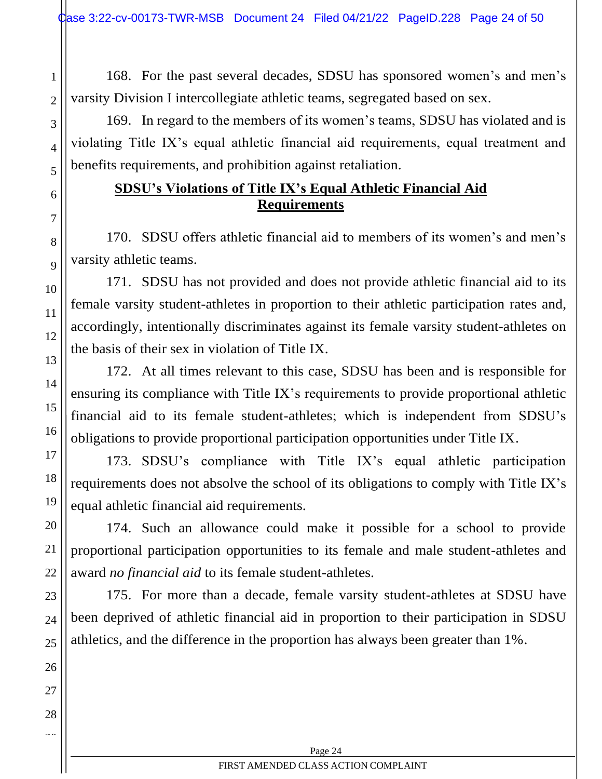2

3

4

<span id="page-23-0"></span>5

6

7

8

9

10

11

12

13

14

15

16

17

18

19

20

21

22

23

24

25

26

27

28  $\sim$ 

168. For the past several decades, SDSU has sponsored women's and men's varsity Division I intercollegiate athletic teams, segregated based on sex.

169. In regard to the members of its women's teams, SDSU has violated and is violating Title IX's equal athletic financial aid requirements, equal treatment and benefits requirements, and prohibition against retaliation.

# **SDSU's Violations of Title IX's Equal Athletic Financial Aid Requirements**

170. SDSU offers athletic financial aid to members of its women's and men's varsity athletic teams.

171. SDSU has not provided and does not provide athletic financial aid to its female varsity student-athletes in proportion to their athletic participation rates and, accordingly, intentionally discriminates against its female varsity student-athletes on the basis of their sex in violation of Title IX.

172. At all times relevant to this case, SDSU has been and is responsible for ensuring its compliance with Title IX's requirements to provide proportional athletic financial aid to its female student-athletes; which is independent from SDSU's obligations to provide proportional participation opportunities under Title IX.

173. SDSU's compliance with Title IX's equal athletic participation requirements does not absolve the school of its obligations to comply with Title IX's equal athletic financial aid requirements.

174. Such an allowance could make it possible for a school to provide proportional participation opportunities to its female and male student-athletes and award *no financial aid* to its female student-athletes.

175. For more than a decade, female varsity student-athletes at SDSU have been deprived of athletic financial aid in proportion to their participation in SDSU athletics, and the difference in the proportion has always been greater than 1%.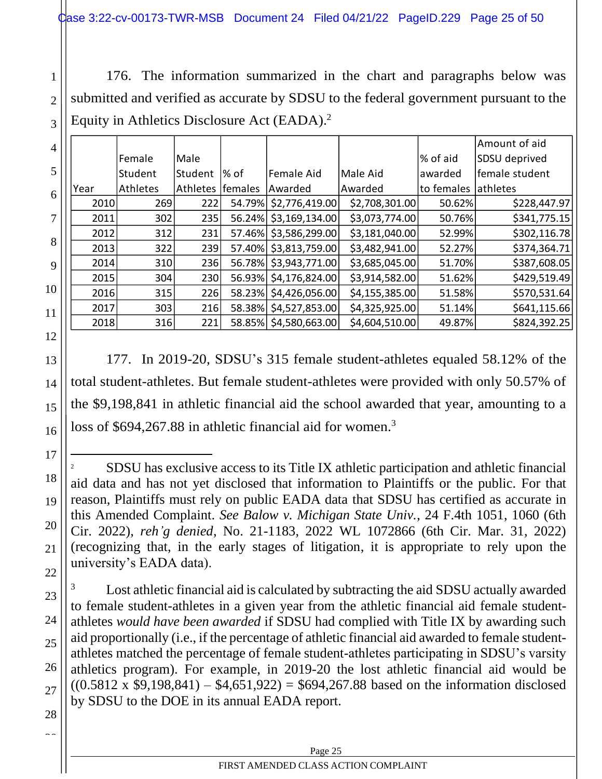176. The information summarized in the chart and paragraphs below was submitted and verified as accurate by SDSU to the federal government pursuant to the Equity in Athletics Disclosure Act (EADA). 2

|      |          |                 |         |                |                |            | Amount of aid  |
|------|----------|-----------------|---------|----------------|----------------|------------|----------------|
|      | Female   | Male            |         |                |                | % of aid   | SDSU deprived  |
|      | Student  | Student         | % of    | Female Aid     | Male Aid       | awarded    | female student |
| Year | Athletes | <b>Athletes</b> | females | Awarded        | Awarded        | to females | athletes       |
| 2010 | 269      | 222             | 54.79%  | \$2,776,419.00 | \$2,708,301.00 | 50.62%     | \$228,447.97   |
| 2011 | 302      | 235             | 56.24%  | \$3,169,134.00 | \$3,073,774.00 | 50.76%     | \$341,775.15   |
| 2012 | 312      | 231             | 57.46%  | \$3,586,299.00 | \$3,181,040.00 | 52.99%     | \$302,116.78]  |
| 2013 | 322      | 239             | 57.40%  | \$3,813,759.00 | \$3,482,941.00 | 52.27%     | \$374,364.71   |
| 2014 | 310      | 236             | 56.78%  | \$3,943,771.00 | \$3,685,045.00 | 51.70%     | \$387,608.05   |
| 2015 | 304      | 230             | 56.93%  | \$4,176,824.00 | \$3,914,582.00 | 51.62%     | \$429,519.49   |
| 2016 | 315      | 226             | 58.23%  | \$4,426,056.00 | \$4,155,385.00 | 51.58%     | \$570,531.64   |
| 2017 | 303      | 216             | 58.38%  | \$4,527,853.00 | \$4,325,925.00 | 51.14%     | \$641,115.66   |
| 2018 | 316      | 221             | 58.85%  | \$4,580,663.00 | \$4,604,510.00 | 49.87%     | \$824,392.25   |

177. In 2019-20, SDSU's 315 female student-athletes equaled 58.12% of the total student-athletes. But female student-athletes were provided with only 50.57% of the \$9,198,841 in athletic financial aid the school awarded that year, amounting to a loss of \$694,267.88 in athletic financial aid for women.<sup>3</sup>

Lost athletic financial aid is calculated by subtracting the aid SDSU actually awarded to female student-athletes in a given year from the athletic financial aid female studentathletes *would have been awarded* if SDSU had complied with Title IX by awarding such aid proportionally (i.e., if the percentage of athletic financial aid awarded to female studentathletes matched the percentage of female student-athletes participating in SDSU's varsity athletics program). For example, in 2019-20 the lost athletic financial aid would be  $((0.5812 \times $9,198,841) - $4,651,922) = $694,267.88$  based on the information disclosed by SDSU to the DOE in its annual EADA report.

1

2

3

4

5

6

7

8

9

10

11

12

<sup>2</sup> SDSU has exclusive access to its Title IX athletic participation and athletic financial aid data and has not yet disclosed that information to Plaintiffs or the public. For that reason, Plaintiffs must rely on public EADA data that SDSU has certified as accurate in this Amended Complaint. *See Balow v. Michigan State Univ.*, 24 F.4th 1051, 1060 (6th Cir. 2022), *reh'g denied*, No. 21-1183, 2022 WL 1072866 (6th Cir. Mar. 31, 2022) (recognizing that, in the early stages of litigation, it is appropriate to rely upon the university's EADA data).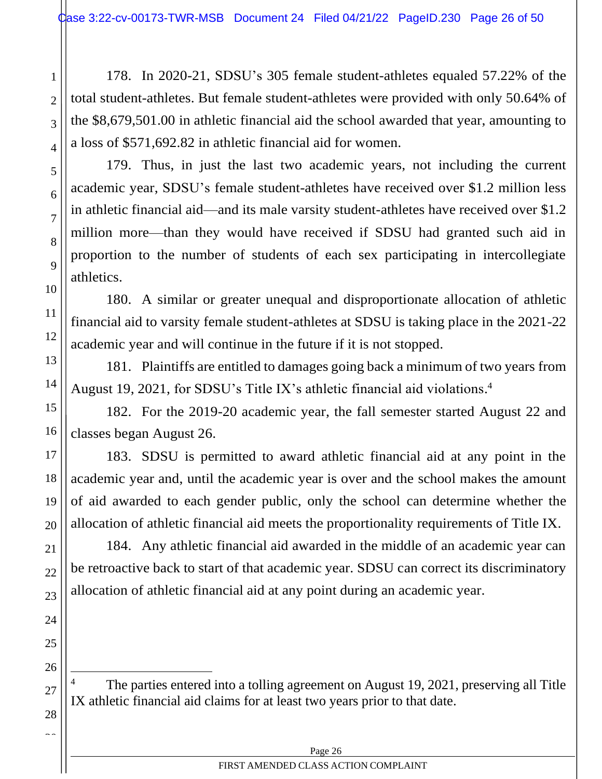178. In 2020-21, SDSU's 305 female student-athletes equaled 57.22% of the total student-athletes. But female student-athletes were provided with only 50.64% of the \$8,679,501.00 in athletic financial aid the school awarded that year, amounting to a loss of \$571,692.82 in athletic financial aid for women.

25

26

27

28  $\sim$ 

1

2

179. Thus, in just the last two academic years, not including the current academic year, SDSU's female student-athletes have received over \$1.2 million less in athletic financial aid—and its male varsity student-athletes have received over \$1.2 million more—than they would have received if SDSU had granted such aid in proportion to the number of students of each sex participating in intercollegiate athletics.

180. A similar or greater unequal and disproportionate allocation of athletic financial aid to varsity female student-athletes at SDSU is taking place in the 2021-22 academic year and will continue in the future if it is not stopped.

181. Plaintiffs are entitled to damages going back a minimum of two years from August 19, 2021, for SDSU's Title IX's athletic financial aid violations. 4

182. For the 2019-20 academic year, the fall semester started August 22 and classes began August 26.

183. SDSU is permitted to award athletic financial aid at any point in the academic year and, until the academic year is over and the school makes the amount of aid awarded to each gender public, only the school can determine whether the allocation of athletic financial aid meets the proportionality requirements of Title IX.

184. Any athletic financial aid awarded in the middle of an academic year can be retroactive back to start of that academic year. SDSU can correct its discriminatory allocation of athletic financial aid at any point during an academic year.

The parties entered into a tolling agreement on August 19, 2021, preserving all Title IX athletic financial aid claims for at least two years prior to that date.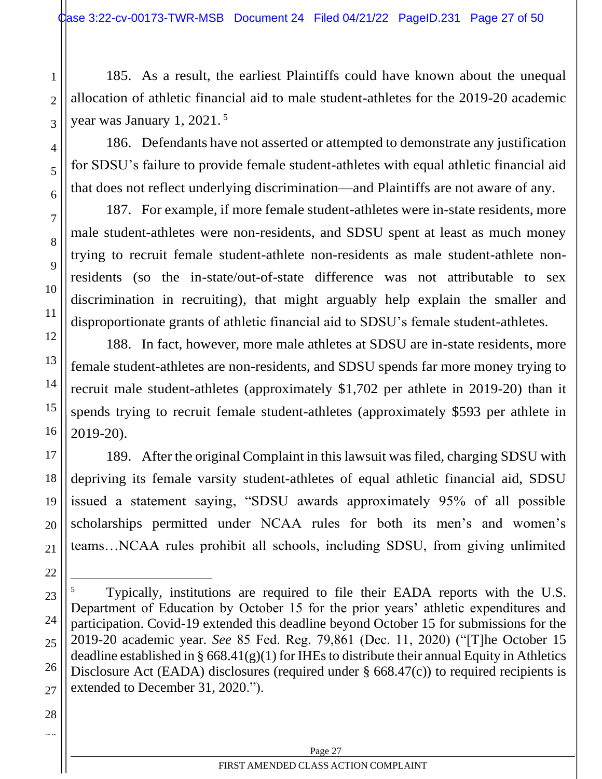185. As a result, the earliest Plaintiffs could have known about the unequal allocation of athletic financial aid to male student-athletes for the 2019-20 academic year was January 1, 2021. 5

186. Defendants have not asserted or attempted to demonstrate any justification for SDSU's failure to provide female student-athletes with equal athletic financial aid that does not reflect underlying discrimination—and Plaintiffs are not aware of any.

187. For example, if more female student-athletes were in-state residents, more male student-athletes were non-residents, and SDSU spent at least as much money trying to recruit female student-athlete non-residents as male student-athlete nonresidents (so the in-state/out-of-state difference was not attributable to sex discrimination in recruiting), that might arguably help explain the smaller and disproportionate grants of athletic financial aid to SDSU's female student-athletes.

188. In fact, however, more male athletes at SDSU are in-state residents, more female student-athletes are non-residents, and SDSU spends far more money trying to recruit male student-athletes (approximately \$1,702 per athlete in 2019-20) than it spends trying to recruit female student-athletes (approximately \$593 per athlete in 2019-20).

189. After the original Complaint in this lawsuit was filed, charging SDSU with depriving its female varsity student-athletes of equal athletic financial aid, SDSU issued a statement saying, "SDSU awards approximately 95% of all possible scholarships permitted under NCAA rules for both its men's and women's teams…NCAA rules prohibit all schools, including SDSU, from giving unlimited

1

2

3

4

5

6

7

8

9

10

11

12

13

14

15

16

17

18

19

<sup>5</sup> Typically, institutions are required to file their EADA reports with the U.S. Department of Education by October 15 for the prior years' athletic expenditures and participation. Covid-19 extended this deadline beyond October 15 for submissions for the 2019-20 academic year. *See* 85 Fed. Reg. 79,861 (Dec. 11, 2020) ("[T]he October 15 deadline established in §  $668.41(g)(1)$  for IHEs to distribute their annual Equity in Athletics Disclosure Act (EADA) disclosures (required under § 668.47(c)) to required recipients is extended to December 31, 2020.").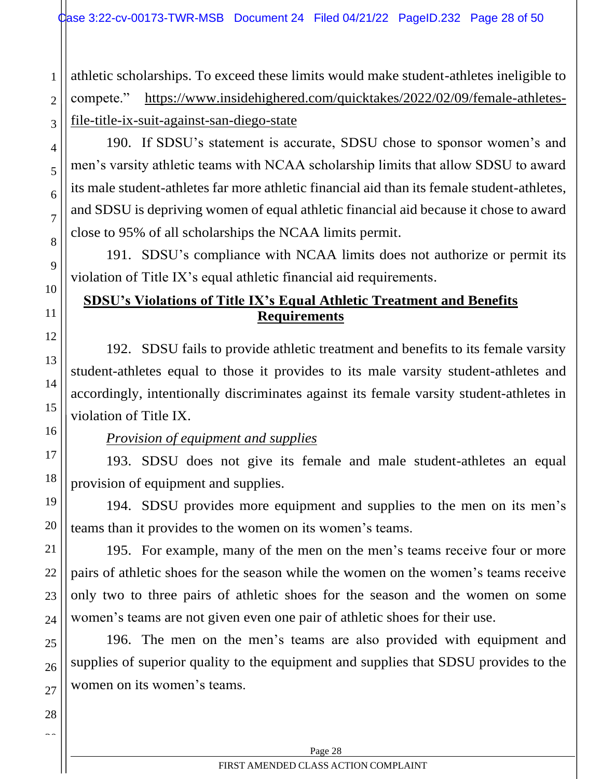athletic scholarships. To exceed these limits would make student-athletes ineligible to compete." [https://www.insidehighered.com/quicktakes/2022/02/09/female-athletes](https://www.insidehighered.com/quicktakes/2022/02/09/female-athletes-file-title-ix-suit-against-san-diego-state)[file-title-ix-suit-against-san-diego-state](https://www.insidehighered.com/quicktakes/2022/02/09/female-athletes-file-title-ix-suit-against-san-diego-state)

190. If SDSU's statement is accurate, SDSU chose to sponsor women's and men's varsity athletic teams with NCAA scholarship limits that allow SDSU to award its male student-athletes far more athletic financial aid than its female student-athletes, and SDSU is depriving women of equal athletic financial aid because it chose to award close to 95% of all scholarships the NCAA limits permit.

191. SDSU's compliance with NCAA limits does not authorize or permit its violation of Title IX's equal athletic financial aid requirements.

# <span id="page-27-0"></span>**SDSU's Violations of Title IX's Equal Athletic Treatment and Benefits Requirements**

192. SDSU fails to provide athletic treatment and benefits to its female varsity student-athletes equal to those it provides to its male varsity student-athletes and accordingly, intentionally discriminates against its female varsity student-athletes in violation of Title IX.

# *Provision of equipment and supplies*

193. SDSU does not give its female and male student-athletes an equal provision of equipment and supplies.

194. SDSU provides more equipment and supplies to the men on its men's teams than it provides to the women on its women's teams.

195. For example, many of the men on the men's teams receive four or more pairs of athletic shoes for the season while the women on the women's teams receive only two to three pairs of athletic shoes for the season and the women on some women's teams are not given even one pair of athletic shoes for their use.

196. The men on the men's teams are also provided with equipment and supplies of superior quality to the equipment and supplies that SDSU provides to the women on its women's teams.

1

2

3

4

5

6

7

8

9

10

11

12

13

14

15

16

17

18

19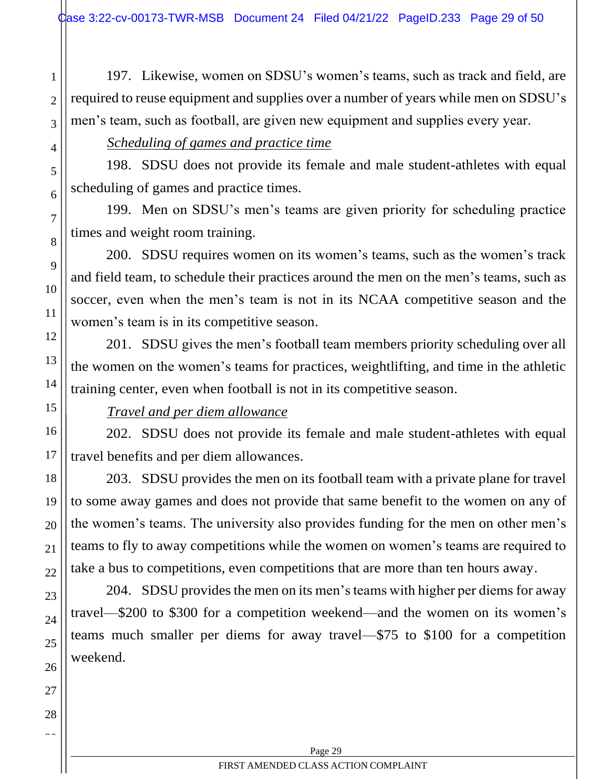197. Likewise, women on SDSU's women's teams, such as track and field, are required to reuse equipment and supplies over a number of years while men on SDSU's men's team, such as football, are given new equipment and supplies every year.

## *Scheduling of games and practice time*

198. SDSU does not provide its female and male student-athletes with equal scheduling of games and practice times.

199. Men on SDSU's men's teams are given priority for scheduling practice times and weight room training.

200. SDSU requires women on its women's teams, such as the women's track and field team, to schedule their practices around the men on the men's teams, such as soccer, even when the men's team is not in its NCAA competitive season and the women's team is in its competitive season.

201. SDSU gives the men's football team members priority scheduling over all the women on the women's teams for practices, weightlifting, and time in the athletic training center, even when football is not in its competitive season.

# *Travel and per diem allowance*

202. SDSU does not provide its female and male student-athletes with equal travel benefits and per diem allowances.

203. SDSU provides the men on its football team with a private plane for travel to some away games and does not provide that same benefit to the women on any of the women's teams. The university also provides funding for the men on other men's teams to fly to away competitions while the women on women's teams are required to take a bus to competitions, even competitions that are more than ten hours away.

204. SDSU provides the men on its men's teams with higher per diems for away travel—\$200 to \$300 for a competition weekend—and the women on its women's teams much smaller per diems for away travel—\$75 to \$100 for a competition weekend.

1

2

3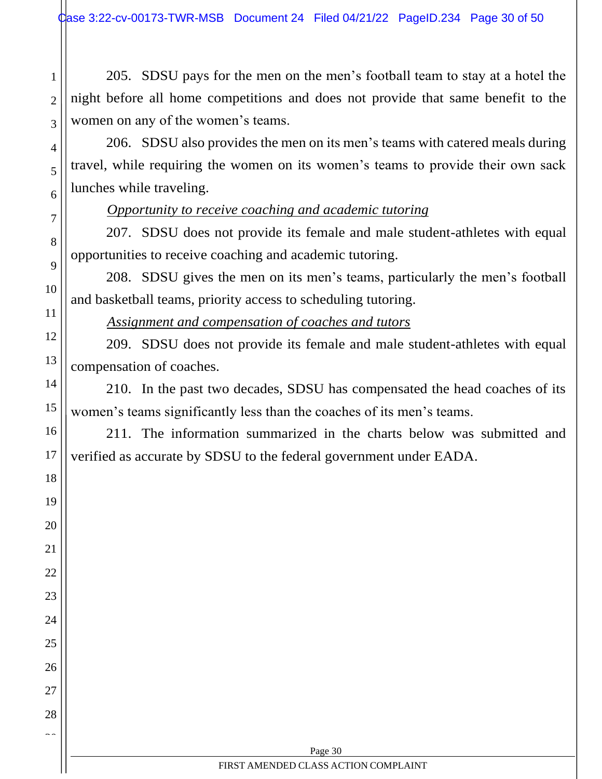205. SDSU pays for the men on the men's football team to stay at a hotel the night before all home competitions and does not provide that same benefit to the women on any of the women's teams.

206. SDSU also provides the men on its men's teams with catered meals during travel, while requiring the women on its women's teams to provide their own sack lunches while traveling.

## *Opportunity to receive coaching and academic tutoring*

1

2

3

4

5

6

7

8

9

10

11

12

13

14

15

16

17

18

19

20

21

22

23

24

25

26

27

28  $\sim$ 

207. SDSU does not provide its female and male student-athletes with equal opportunities to receive coaching and academic tutoring.

208. SDSU gives the men on its men's teams, particularly the men's football and basketball teams, priority access to scheduling tutoring.

*Assignment and compensation of coaches and tutors*

209. SDSU does not provide its female and male student-athletes with equal compensation of coaches.

210. In the past two decades, SDSU has compensated the head coaches of its women's teams significantly less than the coaches of its men's teams.

211. The information summarized in the charts below was submitted and verified as accurate by SDSU to the federal government under EADA.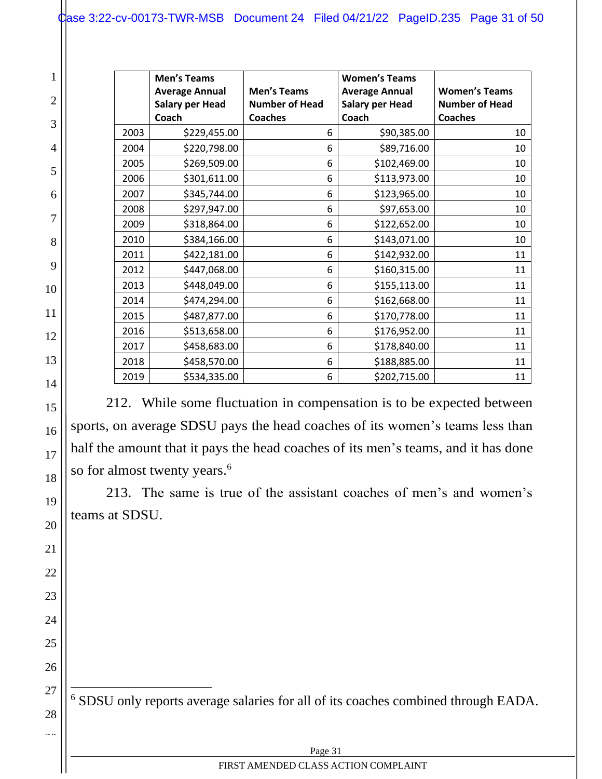|              | 1                             |
|--------------|-------------------------------|
|              | ٦                             |
|              | 6                             |
|              |                               |
|              | 8                             |
|              | $\overline{\phantom{a}}$<br>) |
|              | l C<br>)                      |
| I            | $\mathbf{1}$                  |
| I            |                               |
| ĺ.           |                               |
|              | 1                             |
| Ŀ            |                               |
| l f          |                               |
| $\mathbf{l}$ |                               |
| lŚ           |                               |
| ١            | )                             |
|              | ZU                            |
| 21           |                               |
| 22           |                               |
|              | 23                            |
|              | 24                            |
| 25           |                               |
|              | 26                            |
|              | 27                            |

  $\sim$ 

|      | <b>Men's Teams</b>     |                       | <b>Women's Teams</b>   |                       |
|------|------------------------|-----------------------|------------------------|-----------------------|
|      | <b>Average Annual</b>  | <b>Men's Teams</b>    | <b>Average Annual</b>  | <b>Women's Teams</b>  |
|      | <b>Salary per Head</b> | <b>Number of Head</b> | <b>Salary per Head</b> | <b>Number of Head</b> |
|      | Coach                  | <b>Coaches</b>        | Coach                  | <b>Coaches</b>        |
| 2003 | \$229,455.00           | 6                     | \$90,385.00            | 10                    |
| 2004 | \$220,798.00           | 6                     | \$89,716.00            | 10                    |
| 2005 | \$269,509.00           | 6                     | \$102,469.00           | 10                    |
| 2006 | \$301,611.00           | 6                     | \$113,973.00           | 10                    |
| 2007 | \$345,744.00           | 6                     | \$123,965.00           | 10                    |
| 2008 | \$297,947.00           | 6                     | \$97,653.00            | 10                    |
| 2009 | \$318,864.00           | 6                     | \$122,652.00           | 10                    |
| 2010 | \$384,166.00           | 6                     | \$143,071.00           | 10                    |
| 2011 | \$422,181.00           | 6                     | \$142,932.00           | 11                    |
| 2012 | \$447,068.00           | 6                     | \$160,315.00           | 11                    |
| 2013 | \$448,049.00           | 6                     | \$155,113.00           | 11                    |
| 2014 | \$474,294.00           | 6                     | \$162,668.00           | 11                    |
| 2015 | \$487,877.00           | 6                     | \$170,778.00           | 11                    |
| 2016 | \$513,658.00           | 6                     | \$176,952.00           | 11                    |
| 2017 | \$458,683.00           | 6                     | \$178,840.00           | 11                    |
| 2018 | \$458,570.00           | 6                     | \$188,885.00           | 11                    |
| 2019 | \$534,335.00           | 6                     | \$202,715.00           | 11                    |

212. While some fluctuation in compensation is to be expected between sports, on average SDSU pays the head coaches of its women's teams less than half the amount that it pays the head coaches of its men's teams, and it has done so for almost twenty years.<sup>6</sup>

213. The same is true of the assistant coaches of men's and women's teams at SDSU.

SDSU only reports average salaries for all of its coaches combined through EADA.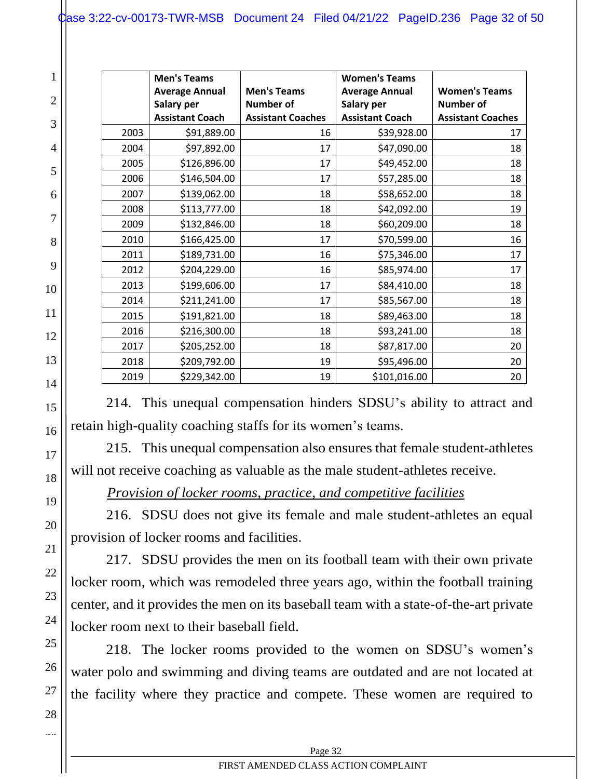|                |      | <b>Men's Teams</b>                  |                                        | <b>Women's Teams</b>                |                                          |
|----------------|------|-------------------------------------|----------------------------------------|-------------------------------------|------------------------------------------|
| $\overline{2}$ |      | <b>Average Annual</b><br>Salary per | <b>Men's Teams</b><br><b>Number of</b> | <b>Average Annual</b><br>Salary per | <b>Women's Teams</b><br><b>Number of</b> |
| 3              |      | <b>Assistant Coach</b>              | <b>Assistant Coaches</b>               | <b>Assistant Coach</b>              | <b>Assistant Coaches</b>                 |
|                | 2003 | \$91,889.00                         | 16                                     | \$39,928.00                         | 17                                       |
| $\overline{4}$ | 2004 | \$97,892.00                         | 17                                     | \$47,090.00                         | 18                                       |
| 5              | 2005 | \$126,896.00                        | 17                                     | \$49,452.00                         | 18                                       |
|                | 2006 | \$146,504.00                        | 17                                     | \$57,285.00                         | 18                                       |
| 6              | 2007 | \$139,062.00                        | 18                                     | \$58,652.00                         | 18                                       |
|                | 2008 | \$113,777.00                        | 18                                     | \$42,092.00                         | 19                                       |
| 7              | 2009 | \$132,846.00                        | 18                                     | \$60,209.00                         | 18                                       |
| 8              | 2010 | \$166,425.00                        | 17                                     | \$70,599.00                         | 16                                       |
|                | 2011 | \$189,731.00                        | 16                                     | \$75,346.00                         | 17                                       |
| 9              | 2012 | \$204,229.00                        | 16                                     | \$85,974.00                         | 17                                       |
| 10             | 2013 | \$199,606.00                        | 17                                     | \$84,410.00                         | 18                                       |
|                | 2014 | \$211,241.00                        | 17                                     | \$85,567.00                         | 18                                       |
| 11             | 2015 | \$191,821.00                        | 18                                     | \$89,463.00                         | 18                                       |
| 12             | 2016 | \$216,300.00                        | 18                                     | \$93,241.00                         | 18                                       |
|                | 2017 | \$205,252.00                        | 18                                     | \$87,817.00                         | 20                                       |
| 13             | 2018 | \$209,792.00                        | 19                                     | \$95,496.00                         | 20                                       |
| 14             | 2019 | \$229,342.00                        | 19                                     | \$101,016.00                        | 20                                       |

214. This unequal compensation hinders SDSU's ability to attract and retain high-quality coaching staffs for its women's teams.

215. This unequal compensation also ensures that female student-athletes will not receive coaching as valuable as the male student-athletes receive.

*Provision of locker rooms, practice, and competitive facilities*

216. SDSU does not give its female and male student-athletes an equal provision of locker rooms and facilities.

217. SDSU provides the men on its football team with their own private locker room, which was remodeled three years ago, within the football training center, and it provides the men on its baseball team with a state-of-the-art private locker room next to their baseball field.

218. The locker rooms provided to the women on SDSU's women's water polo and swimming and diving teams are outdated and are not located at the facility where they practice and compete. These women are required to

15

16

17

18

19

20

21

22

23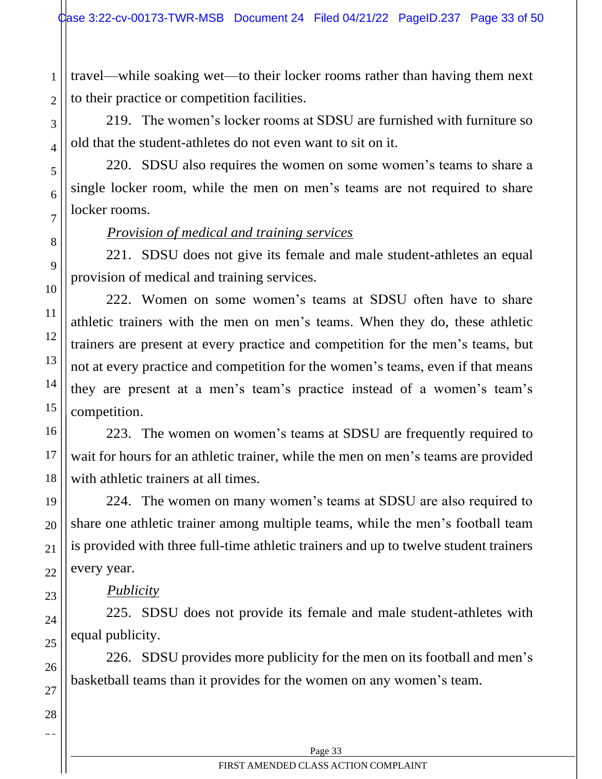travel—while soaking wet—to their locker rooms rather than having them next to their practice or competition facilities.

219. The women's locker rooms at SDSU are furnished with furniture so old that the student-athletes do not even want to sit on it.

220. SDSU also requires the women on some women's teams to share a single locker room, while the men on men's teams are not required to share locker rooms.

### *Provision of medical and training services*

221. SDSU does not give its female and male student-athletes an equal provision of medical and training services.

222. Women on some women's teams at SDSU often have to share athletic trainers with the men on men's teams. When they do, these athletic trainers are present at every practice and competition for the men's teams, but not at every practice and competition for the women's teams, even if that means they are present at a men's team's practice instead of a women's team's competition.

223. The women on women's teams at SDSU are frequently required to wait for hours for an athletic trainer, while the men on men's teams are provided with athletic trainers at all times.

224. The women on many women's teams at SDSU are also required to share one athletic trainer among multiple teams, while the men's football team is provided with three full-time athletic trainers and up to twelve student trainers every year.

# *Publicity*

225. SDSU does not provide its female and male student-athletes with equal publicity.

226. SDSU provides more publicity for the men on its football and men's basketball teams than it provides for the women on any women's team.

1

2

3

4

5

6

7

8

9

10

11

12

13

14

15

16

17

18

19

20

21

22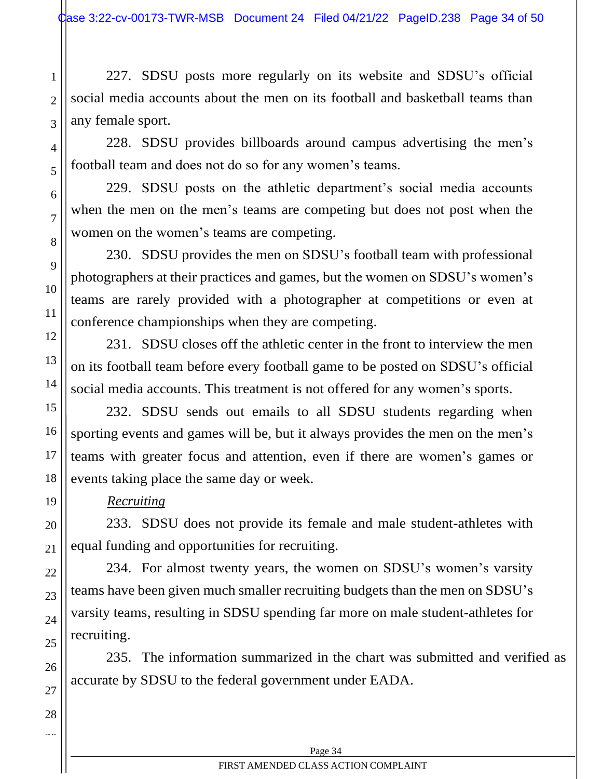227. SDSU posts more regularly on its website and SDSU's official social media accounts about the men on its football and basketball teams than any female sport.

228. SDSU provides billboards around campus advertising the men's football team and does not do so for any women's teams.

229. SDSU posts on the athletic department's social media accounts when the men on the men's teams are competing but does not post when the women on the women's teams are competing.

230. SDSU provides the men on SDSU's football team with professional photographers at their practices and games, but the women on SDSU's women's teams are rarely provided with a photographer at competitions or even at conference championships when they are competing.

231. SDSU closes off the athletic center in the front to interview the men on its football team before every football game to be posted on SDSU's official social media accounts. This treatment is not offered for any women's sports.

232. SDSU sends out emails to all SDSU students regarding when sporting events and games will be, but it always provides the men on the men's teams with greater focus and attention, even if there are women's games or events taking place the same day or week.

## *Recruiting*

233. SDSU does not provide its female and male student-athletes with equal funding and opportunities for recruiting.

234. For almost twenty years, the women on SDSU's women's varsity teams have been given much smaller recruiting budgets than the men on SDSU's varsity teams, resulting in SDSU spending far more on male student-athletes for recruiting.

235. The information summarized in the chart was submitted and verified as accurate by SDSU to the federal government under EADA.

1

2

3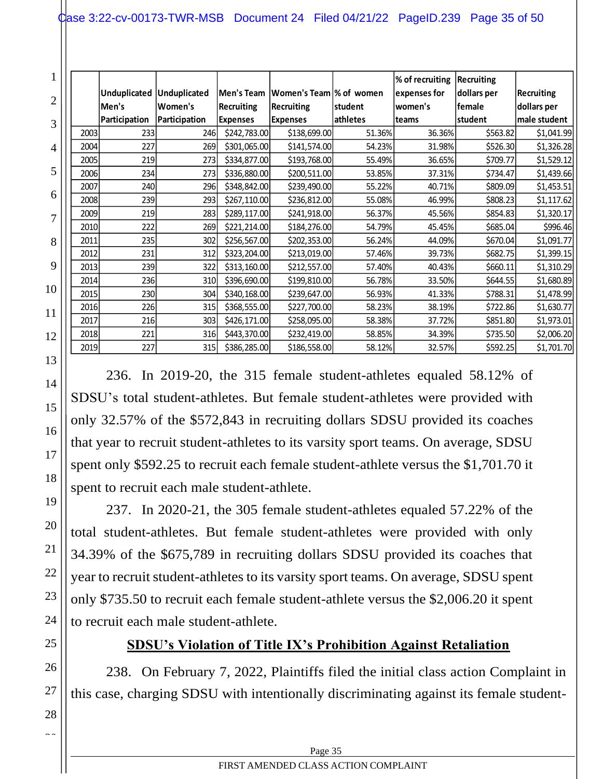|                |       |               |               |                   |                          |          | % of recruiting | Recruiting  |                   |
|----------------|-------|---------------|---------------|-------------------|--------------------------|----------|-----------------|-------------|-------------------|
| $\overline{2}$ |       | Unduplicated  | Unduplicated  | Men's Team        | Women's Team  % of women |          | expenses for    | dollars per | <b>Recruiting</b> |
|                | Men's |               | lWomen's      | <b>Recruiting</b> | <b>Recruiting</b>        | student  | women's         | female      | dollars per       |
| 3              |       | Participation | Participation | <b>Expenses</b>   | <b>Expenses</b>          | athletes | teams           | student     | male student      |
|                | 2003  | 233           | 246I          | \$242,783.00      | \$138,699.00             | 51.36%   | 36.36%          | \$563.82    | \$1,041.99        |
| 4              | 2004  | 227           | 269           | \$301,065.00      | \$141,574.00             | 54.23%   | 31.98%          | \$526.30    | \$1,326.28        |
|                | 2005  | 219           | 273           | \$334,877.00      | \$193,768.00             | 55.49%   | 36.65%          | \$709.77    | \$1,529.12        |
| 5              | 2006  | 234           | 273           | \$336,880.00      | \$200,511.00             | 53.85%   | 37.31%          | \$734.47    | \$1,439.66        |
|                | 2007  | <b>240l</b>   | 296           | \$348,842.00      | \$239,490.00             | 55.22%   | 40.71%          | \$809.09    | \$1,453.51        |
| 6              | 2008  | 239           | 293           | \$267,110.00      | \$236,812.00             | 55.08%   | 46.99%          | \$808.23    | \$1,117.62        |
| 7              | 2009  | 219           | 283           | \$289,117.00      | \$241,918.00             | 56.37%   | 45.56%          | \$854.83    | \$1,320.17        |
|                | 2010  | 222           | 269           | \$221,214.00      | \$184,276.00             | 54.79%   | 45.45%          | \$685.04    | \$996.46          |
| 8              | 2011  | 235           | 302           | \$256,567.00      | \$202,353.00             | 56.24%   | 44.09%          | \$670.04    | \$1,091.77        |
|                | 2012  | 231           | 312           | \$323,204.00      | \$213,019.00             | 57.46%   | 39.73%          | \$682.75    | \$1,399.15        |
| 9              | 2013  | 239           | 322           | \$313,160.00      | \$212,557.00             | 57.40%   | 40.43%          | \$660.11    | \$1,310.29        |
|                | 2014  | 236           | 310           | \$396,690.00      | \$199,810.00             | 56.78%   | 33.50%          | \$644.55    | \$1,680.89        |
| 10             | 2015  | 230           | 304           | \$340,168.00      | \$239,647.00             | 56.93%   | 41.33%          | \$788.31    | \$1,478.99        |
| 11             | 2016  | 226           | 315           | \$368,555.00      | \$227,700.00             | 58.23%   | 38.19%          | \$722.86    | \$1,630.77        |
|                | 2017  | 216           | 303           | \$426,171.00      | \$258,095.00             | 58.38%   | 37.72%          | \$851.80    | \$1,973.01        |
| 12             | 2018  | 221           | 316           | \$443,370.00      | \$232,419.00             | 58.85%   | 34.39%          | \$735.50    | \$2,006.20        |
|                | 2019  | 227           | 315           | \$386,285.00      | \$186,558.00             | 58.12%   | 32.57%          | \$592.25    | \$1,701.70        |

236. In 2019-20, the 315 female student-athletes equaled 58.12% of SDSU's total student-athletes. But female student-athletes were provided with only 32.57% of the \$572,843 in recruiting dollars SDSU provided its coaches that year to recruit student-athletes to its varsity sport teams. On average, SDSU spent only \$592.25 to recruit each female student-athlete versus the \$1,701.70 it spent to recruit each male student-athlete.

237. In 2020-21, the 305 female student-athletes equaled 57.22% of the total student-athletes. But female student-athletes were provided with only 34.39% of the \$675,789 in recruiting dollars SDSU provided its coaches that year to recruit student-athletes to its varsity sport teams. On average, SDSU spent only \$735.50 to recruit each female student-athlete versus the \$2,006.20 it spent to recruit each male student-athlete.

# **SDSU's Violation of Title IX's Prohibition Against Retaliation**

<span id="page-34-0"></span>238. On February 7, 2022, Plaintiffs filed the initial class action Complaint in this case, charging SDSU with intentionally discriminating against its female student-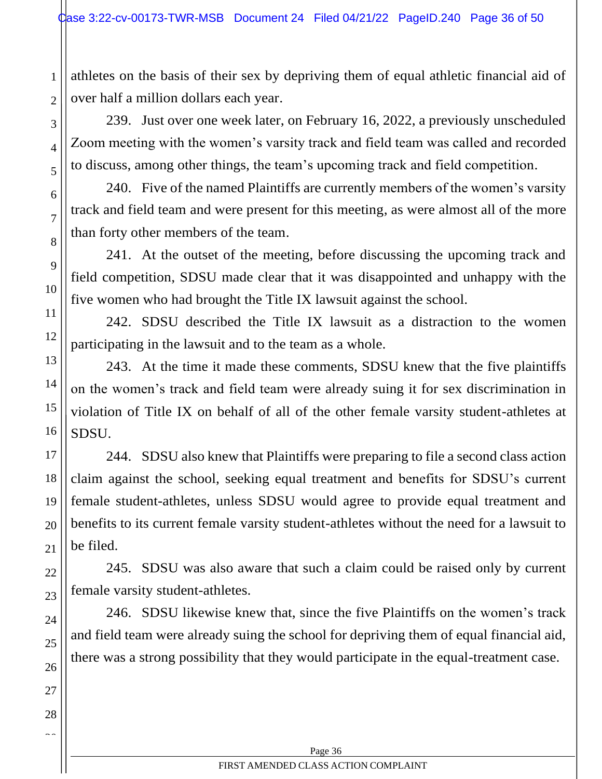2

3

4

5

6

7

8

9

10

11

12

13

14

15

16

17

18

19

20

21

22

23

24

25

26

27

28  $\sim$ 

athletes on the basis of their sex by depriving them of equal athletic financial aid of over half a million dollars each year.

239. Just over one week later, on February 16, 2022, a previously unscheduled Zoom meeting with the women's varsity track and field team was called and recorded to discuss, among other things, the team's upcoming track and field competition.

240. Five of the named Plaintiffs are currently members of the women's varsity track and field team and were present for this meeting, as were almost all of the more than forty other members of the team.

241. At the outset of the meeting, before discussing the upcoming track and field competition, SDSU made clear that it was disappointed and unhappy with the five women who had brought the Title IX lawsuit against the school.

242. SDSU described the Title IX lawsuit as a distraction to the women participating in the lawsuit and to the team as a whole.

243. At the time it made these comments, SDSU knew that the five plaintiffs on the women's track and field team were already suing it for sex discrimination in violation of Title IX on behalf of all of the other female varsity student-athletes at SDSU.

244. SDSU also knew that Plaintiffs were preparing to file a second class action claim against the school, seeking equal treatment and benefits for SDSU's current female student-athletes, unless SDSU would agree to provide equal treatment and benefits to its current female varsity student-athletes without the need for a lawsuit to be filed.

245. SDSU was also aware that such a claim could be raised only by current female varsity student-athletes.

246. SDSU likewise knew that, since the five Plaintiffs on the women's track and field team were already suing the school for depriving them of equal financial aid, there was a strong possibility that they would participate in the equal-treatment case.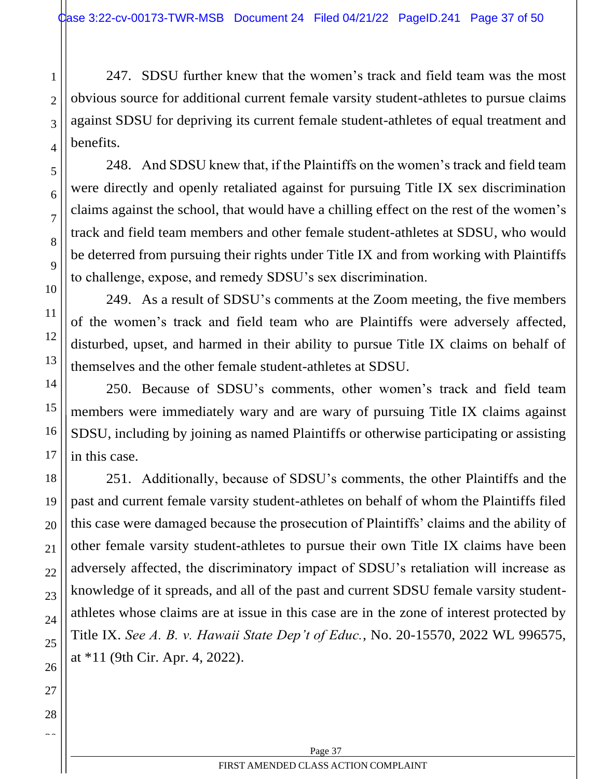2

3

4

5

6

7

8

9

10

11

12

13

14

15

16

17

18

19

20

21

22

23

24

25

26

27

28  $\sim$ 

247. SDSU further knew that the women's track and field team was the most obvious source for additional current female varsity student-athletes to pursue claims against SDSU for depriving its current female student-athletes of equal treatment and benefits.

248. And SDSU knew that, if the Plaintiffs on the women's track and field team were directly and openly retaliated against for pursuing Title IX sex discrimination claims against the school, that would have a chilling effect on the rest of the women's track and field team members and other female student-athletes at SDSU, who would be deterred from pursuing their rights under Title IX and from working with Plaintiffs to challenge, expose, and remedy SDSU's sex discrimination.

249. As a result of SDSU's comments at the Zoom meeting, the five members of the women's track and field team who are Plaintiffs were adversely affected, disturbed, upset, and harmed in their ability to pursue Title IX claims on behalf of themselves and the other female student-athletes at SDSU.

250. Because of SDSU's comments, other women's track and field team members were immediately wary and are wary of pursuing Title IX claims against SDSU, including by joining as named Plaintiffs or otherwise participating or assisting in this case.

251. Additionally, because of SDSU's comments, the other Plaintiffs and the past and current female varsity student-athletes on behalf of whom the Plaintiffs filed this case were damaged because the prosecution of Plaintiffs' claims and the ability of other female varsity student-athletes to pursue their own Title IX claims have been adversely affected, the discriminatory impact of SDSU's retaliation will increase as knowledge of it spreads, and all of the past and current SDSU female varsity studentathletes whose claims are at issue in this case are in the zone of interest protected by Title IX. *See A. B. v. Hawaii State Dep't of Educ.*, No. 20-15570, 2022 WL 996575, at \*11 (9th Cir. Apr. 4, 2022).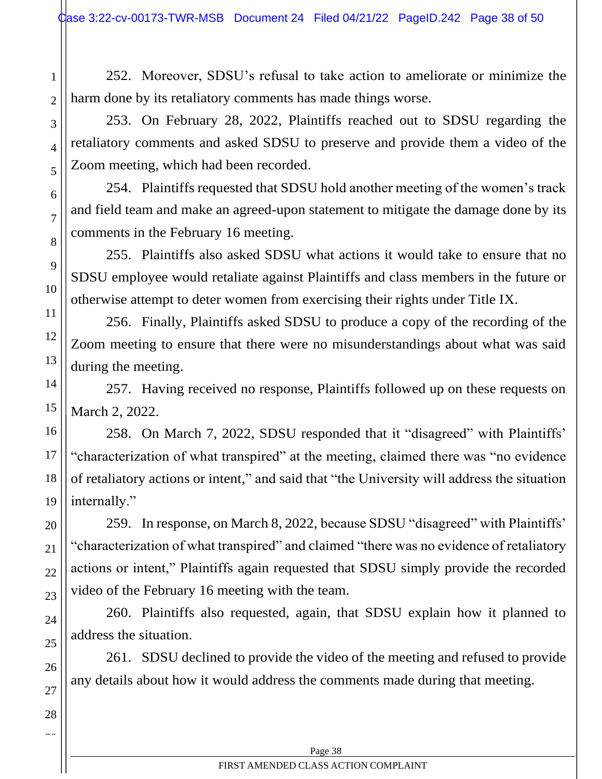252. Moreover, SDSU's refusal to take action to ameliorate or minimize the harm done by its retaliatory comments has made things worse.

253. On February 28, 2022, Plaintiffs reached out to SDSU regarding the retaliatory comments and asked SDSU to preserve and provide them a video of the Zoom meeting, which had been recorded.

254. Plaintiffs requested that SDSU hold another meeting of the women's track and field team and make an agreed-upon statement to mitigate the damage done by its comments in the February 16 meeting.

255. Plaintiffs also asked SDSU what actions it would take to ensure that no SDSU employee would retaliate against Plaintiffs and class members in the future or otherwise attempt to deter women from exercising their rights under Title IX.

256. Finally, Plaintiffs asked SDSU to produce a copy of the recording of the Zoom meeting to ensure that there were no misunderstandings about what was said during the meeting.

257. Having received no response, Plaintiffs followed up on these requests on March 2, 2022.

258. On March 7, 2022, SDSU responded that it "disagreed" with Plaintiffs' "characterization of what transpired" at the meeting, claimed there was "no evidence of retaliatory actions or intent," and said that "the University will address the situation internally."

259. In response, on March 8, 2022, because SDSU "disagreed" with Plaintiffs' "characterization of what transpired" and claimed "there was no evidence of retaliatory actions or intent," Plaintiffs again requested that SDSU simply provide the recorded video of the February 16 meeting with the team.

260. Plaintiffs also requested, again, that SDSU explain how it planned to address the situation.

261. SDSU declined to provide the video of the meeting and refused to provide any details about how it would address the comments made during that meeting.

1

2

3

4

5

6

7

8

9

10

11

12

13

14

15

16

17

18

19

20

21

22

23

24

25

26

27

28  $\sim$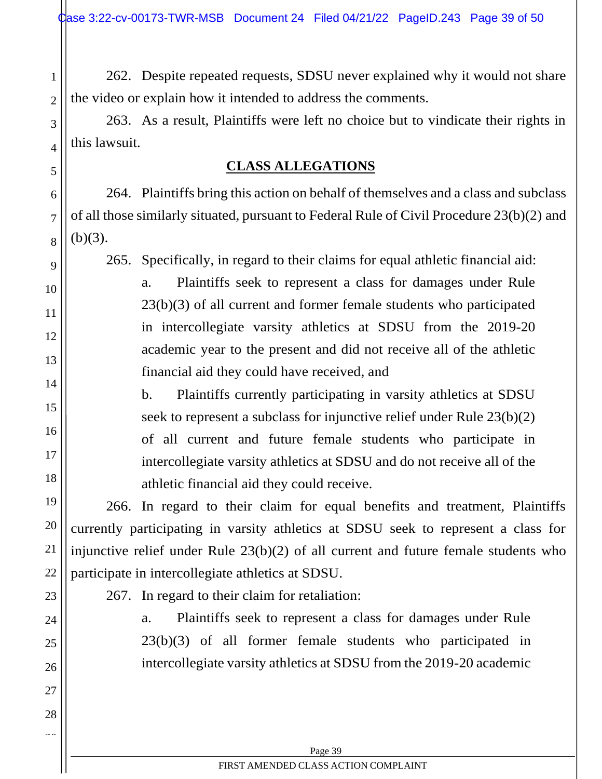2

3

<span id="page-38-0"></span>4

5

6

7

8

9

10

11

12

13

14

15

16

17

18

19

20

21

22

23

24

25

26

27

28  $\sim$ 

262. Despite repeated requests, SDSU never explained why it would not share the video or explain how it intended to address the comments.

263. As a result, Plaintiffs were left no choice but to vindicate their rights in this lawsuit.

# **CLASS ALLEGATIONS**

264. Plaintiffs bring this action on behalf of themselves and a class and subclass of all those similarly situated, pursuant to Federal Rule of Civil Procedure 23(b)(2) and  $(b)(3)$ .

265. Specifically, in regard to their claims for equal athletic financial aid:

a. Plaintiffs seek to represent a class for damages under Rule 23(b)(3) of all current and former female students who participated in intercollegiate varsity athletics at SDSU from the 2019-20 academic year to the present and did not receive all of the athletic financial aid they could have received, and

b. Plaintiffs currently participating in varsity athletics at SDSU seek to represent a subclass for injunctive relief under Rule 23(b)(2) of all current and future female students who participate in intercollegiate varsity athletics at SDSU and do not receive all of the athletic financial aid they could receive.

266. In regard to their claim for equal benefits and treatment, Plaintiffs currently participating in varsity athletics at SDSU seek to represent a class for injunctive relief under Rule 23(b)(2) of all current and future female students who participate in intercollegiate athletics at SDSU.

267. In regard to their claim for retaliation:

a. Plaintiffs seek to represent a class for damages under Rule 23(b)(3) of all former female students who participated in intercollegiate varsity athletics at SDSU from the 2019-20 academic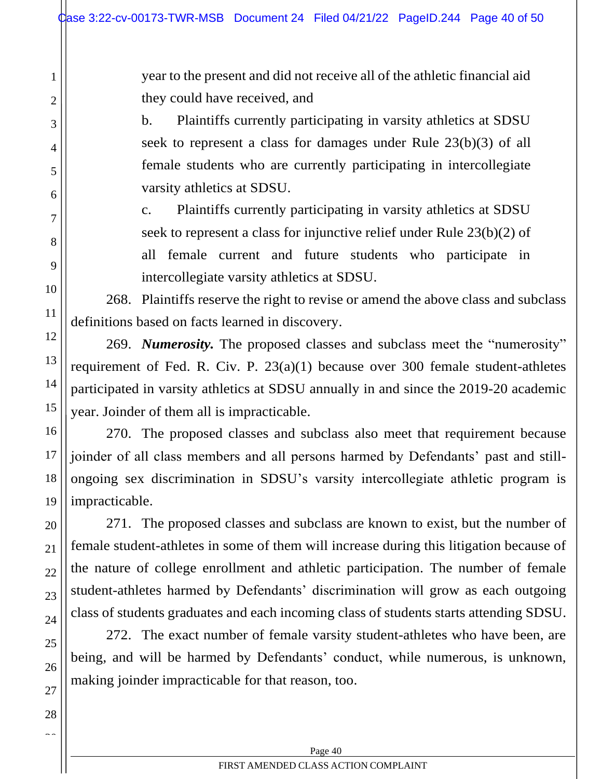year to the present and did not receive all of the athletic financial aid they could have received, and

b. Plaintiffs currently participating in varsity athletics at SDSU seek to represent a class for damages under Rule 23(b)(3) of all female students who are currently participating in intercollegiate varsity athletics at SDSU.

c. Plaintiffs currently participating in varsity athletics at SDSU seek to represent a class for injunctive relief under Rule 23(b)(2) of all female current and future students who participate in intercollegiate varsity athletics at SDSU.

268. Plaintiffs reserve the right to revise or amend the above class and subclass definitions based on facts learned in discovery.

269. *Numerosity.* The proposed classes and subclass meet the "numerosity" requirement of Fed. R. Civ. P. 23(a)(1) because over 300 female student-athletes participated in varsity athletics at SDSU annually in and since the 2019-20 academic year. Joinder of them all is impracticable.

270. The proposed classes and subclass also meet that requirement because joinder of all class members and all persons harmed by Defendants' past and stillongoing sex discrimination in SDSU's varsity intercollegiate athletic program is impracticable.

271. The proposed classes and subclass are known to exist, but the number of female student-athletes in some of them will increase during this litigation because of the nature of college enrollment and athletic participation. The number of female student-athletes harmed by Defendants' discrimination will grow as each outgoing class of students graduates and each incoming class of students starts attending SDSU.

272. The exact number of female varsity student-athletes who have been, are being, and will be harmed by Defendants' conduct, while numerous, is unknown, making joinder impracticable for that reason, too.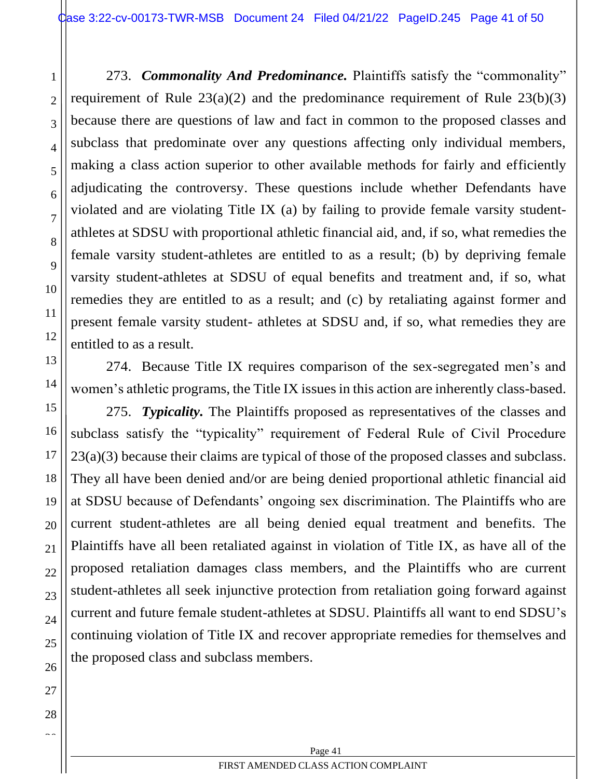273. *Commonality And Predominance.* Plaintiffs satisfy the "commonality" requirement of Rule  $23(a)(2)$  and the predominance requirement of Rule  $23(b)(3)$ because there are questions of law and fact in common to the proposed classes and subclass that predominate over any questions affecting only individual members, making a class action superior to other available methods for fairly and efficiently adjudicating the controversy. These questions include whether Defendants have violated and are violating Title IX (a) by failing to provide female varsity studentathletes at SDSU with proportional athletic financial aid, and, if so, what remedies the female varsity student-athletes are entitled to as a result; (b) by depriving female varsity student-athletes at SDSU of equal benefits and treatment and, if so, what remedies they are entitled to as a result; and (c) by retaliating against former and present female varsity student- athletes at SDSU and, if so, what remedies they are entitled to as a result.

274. Because Title IX requires comparison of the sex-segregated men's and women's athletic programs, the Title IX issues in this action are inherently class-based.

275. *Typicality.* The Plaintiffs proposed as representatives of the classes and subclass satisfy the "typicality" requirement of Federal Rule of Civil Procedure 23(a)(3) because their claims are typical of those of the proposed classes and subclass. They all have been denied and/or are being denied proportional athletic financial aid at SDSU because of Defendants' ongoing sex discrimination. The Plaintiffs who are current student-athletes are all being denied equal treatment and benefits. The Plaintiffs have all been retaliated against in violation of Title IX, as have all of the proposed retaliation damages class members, and the Plaintiffs who are current student-athletes all seek injunctive protection from retaliation going forward against current and future female student-athletes at SDSU. Plaintiffs all want to end SDSU's continuing violation of Title IX and recover appropriate remedies for themselves and the proposed class and subclass members.

1

2

3

4

5

6

7

8

9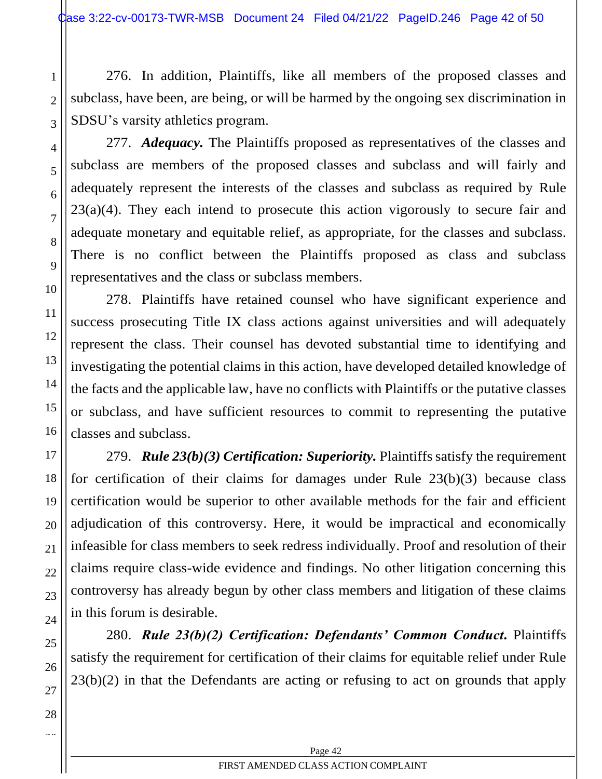2

3

4

5

6

7

8

9

10

11

12

13

14

15

16

17

18

19

20

21

22

23

24

25

26

27

28  $\sim$ 

276. In addition, Plaintiffs, like all members of the proposed classes and subclass, have been, are being, or will be harmed by the ongoing sex discrimination in SDSU's varsity athletics program.

277. *Adequacy.* The Plaintiffs proposed as representatives of the classes and subclass are members of the proposed classes and subclass and will fairly and adequately represent the interests of the classes and subclass as required by Rule  $23(a)(4)$ . They each intend to prosecute this action vigorously to secure fair and adequate monetary and equitable relief, as appropriate, for the classes and subclass. There is no conflict between the Plaintiffs proposed as class and subclass representatives and the class or subclass members.

278. Plaintiffs have retained counsel who have significant experience and success prosecuting Title IX class actions against universities and will adequately represent the class. Their counsel has devoted substantial time to identifying and investigating the potential claims in this action, have developed detailed knowledge of the facts and the applicable law, have no conflicts with Plaintiffs or the putative classes or subclass, and have sufficient resources to commit to representing the putative classes and subclass.

279. *Rule 23(b)(3) Certification: Superiority.* Plaintiffs satisfy the requirement for certification of their claims for damages under Rule 23(b)(3) because class certification would be superior to other available methods for the fair and efficient adjudication of this controversy. Here, it would be impractical and economically infeasible for class members to seek redress individually. Proof and resolution of their claims require class-wide evidence and findings. No other litigation concerning this controversy has already begun by other class members and litigation of these claims in this forum is desirable.

280. *Rule 23(b)(2) Certification: Defendants' Common Conduct.* Plaintiffs satisfy the requirement for certification of their claims for equitable relief under Rule  $23(b)(2)$  in that the Defendants are acting or refusing to act on grounds that apply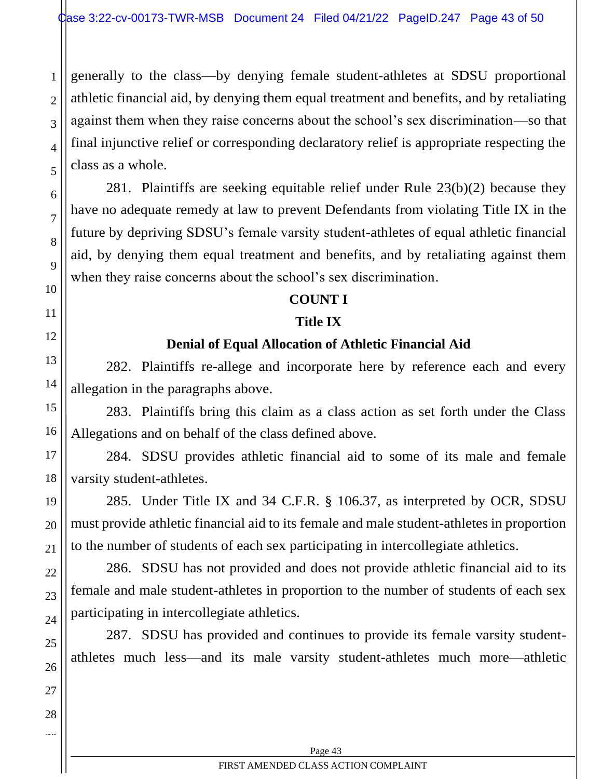2

3

4

5

6

7

8

9

10

11

<span id="page-42-0"></span>12

13

14

15

16

17

18

19

20

21

22

23

24

25

26

27

28  $\sim$ 

generally to the class—by denying female student-athletes at SDSU proportional athletic financial aid, by denying them equal treatment and benefits, and by retaliating against them when they raise concerns about the school's sex discrimination—so that final injunctive relief or corresponding declaratory relief is appropriate respecting the class as a whole.

281. Plaintiffs are seeking equitable relief under Rule 23(b)(2) because they have no adequate remedy at law to prevent Defendants from violating Title IX in the future by depriving SDSU's female varsity student-athletes of equal athletic financial aid, by denying them equal treatment and benefits, and by retaliating against them when they raise concerns about the school's sex discrimination.

### **COUNT I**

### **Title IX**

# **Denial of Equal Allocation of Athletic Financial Aid**

282. Plaintiffs re-allege and incorporate here by reference each and every allegation in the paragraphs above.

283. Plaintiffs bring this claim as a class action as set forth under the Class Allegations and on behalf of the class defined above.

284. SDSU provides athletic financial aid to some of its male and female varsity student-athletes.

285. Under Title IX and 34 C.F.R. § 106.37, as interpreted by OCR, SDSU must provide athletic financial aid to its female and male student-athletes in proportion to the number of students of each sex participating in intercollegiate athletics.

286. SDSU has not provided and does not provide athletic financial aid to its female and male student-athletes in proportion to the number of students of each sex participating in intercollegiate athletics.

287. SDSU has provided and continues to provide its female varsity studentathletes much less—and its male varsity student-athletes much more—athletic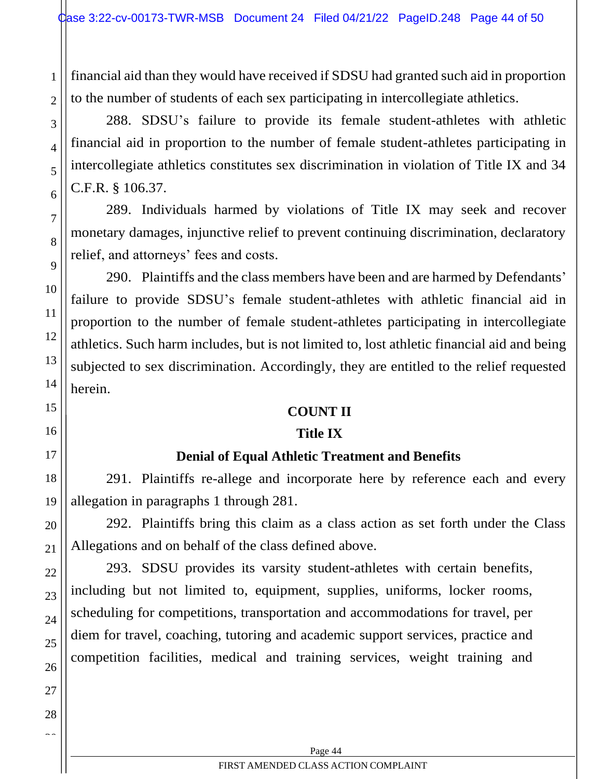financial aid than they would have received if SDSU had granted such aid in proportion to the number of students of each sex participating in intercollegiate athletics.

288. SDSU's failure to provide its female student-athletes with athletic financial aid in proportion to the number of female student-athletes participating in intercollegiate athletics constitutes sex discrimination in violation of Title IX and 34 C.F.R. § 106.37.

289. Individuals harmed by violations of Title IX may seek and recover monetary damages, injunctive relief to prevent continuing discrimination, declaratory relief, and attorneys' fees and costs.

290. Plaintiffs and the class members have been and are harmed by Defendants' failure to provide SDSU's female student-athletes with athletic financial aid in proportion to the number of female student-athletes participating in intercollegiate athletics. Such harm includes, but is not limited to, lost athletic financial aid and being subjected to sex discrimination. Accordingly, they are entitled to the relief requested herein.

### **COUNT II**

## **Title IX**

## **Denial of Equal Athletic Treatment and Benefits**

<span id="page-43-0"></span>291. Plaintiffs re-allege and incorporate here by reference each and every allegation in paragraphs 1 through 281.

292. Plaintiffs bring this claim as a class action as set forth under the Class Allegations and on behalf of the class defined above.

293. SDSU provides its varsity student-athletes with certain benefits, including but not limited to, equipment, supplies, uniforms, locker rooms, scheduling for competitions, transportation and accommodations for travel, per diem for travel, coaching, tutoring and academic support services, practice and competition facilities, medical and training services, weight training and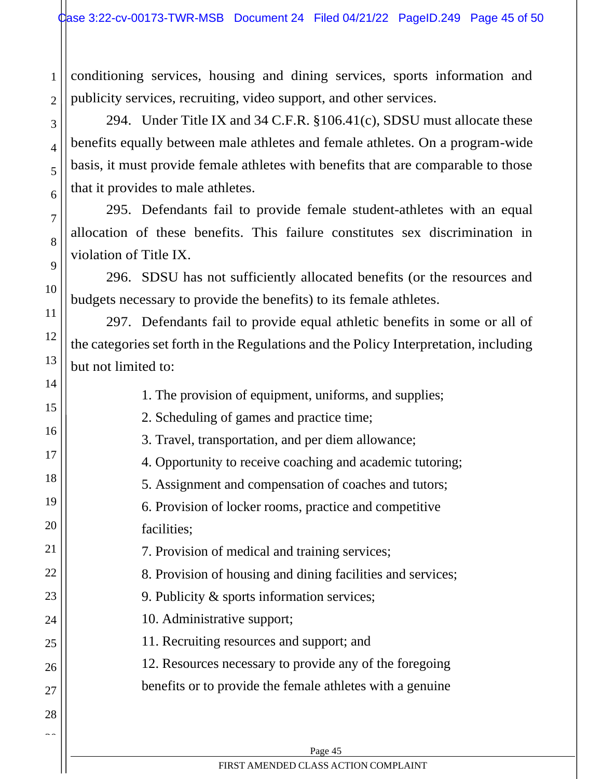conditioning services, housing and dining services, sports information and publicity services, recruiting, video support, and other services.

1

2

3

4

5

6

7

8

9

10

11

12

13

14

294. Under Title IX and 34 C.F.R. §106.41(c), SDSU must allocate these benefits equally between male athletes and female athletes. On a program-wide basis, it must provide female athletes with benefits that are comparable to those that it provides to male athletes.

295. Defendants fail to provide female student-athletes with an equal allocation of these benefits. This failure constitutes sex discrimination in violation of Title IX.

296. SDSU has not sufficiently allocated benefits (or the resources and budgets necessary to provide the benefits) to its female athletes.

297. Defendants fail to provide equal athletic benefits in some or all of the categories set forth in the Regulations and the Policy Interpretation, including but not limited to:

|               | 1. The provision of equipment, uniforms, and supplies;      |
|---------------|-------------------------------------------------------------|
| 15            | 2. Scheduling of games and practice time;                   |
| 16            | 3. Travel, transportation, and per diem allowance;          |
| 17            | 4. Opportunity to receive coaching and academic tutoring;   |
| 18            | 5. Assignment and compensation of coaches and tutors;       |
| 19            | 6. Provision of locker rooms, practice and competitive      |
| 20            | facilities;                                                 |
| 21            | 7. Provision of medical and training services;              |
| 22            | 8. Provision of housing and dining facilities and services; |
| 23            | 9. Publicity $\&$ sports information services;              |
| 24            | 10. Administrative support;                                 |
| 25            | 11. Recruiting resources and support; and                   |
| 26            | 12. Resources necessary to provide any of the foregoing     |
| 27            | benefits or to provide the female athletes with a genuine   |
| 28            |                                                             |
| $\sim$ $\sim$ |                                                             |
|               | Page 45                                                     |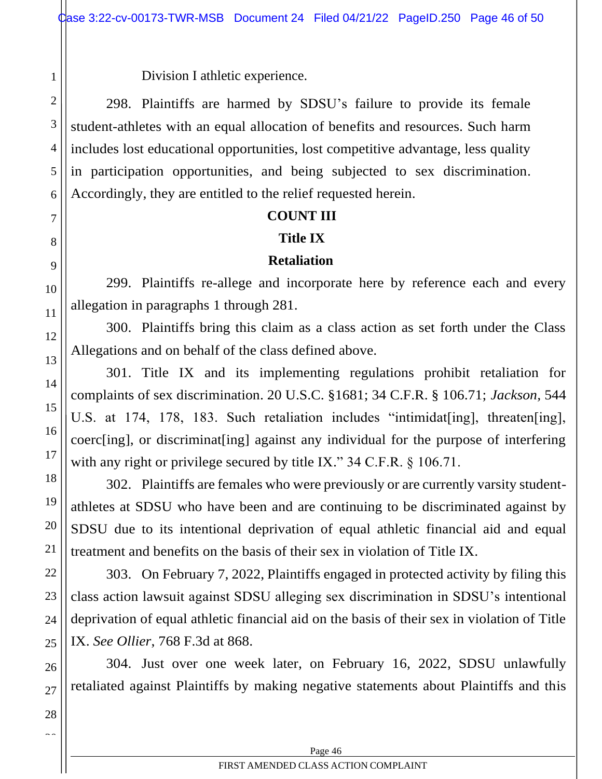Division I athletic experience.

298. Plaintiffs are harmed by SDSU's failure to provide its female student-athletes with an equal allocation of benefits and resources. Such harm includes lost educational opportunities, lost competitive advantage, less quality in participation opportunities, and being subjected to sex discrimination. Accordingly, they are entitled to the relief requested herein.

### **COUNT III**

### **Title IX**

### **Retaliation**

299. Plaintiffs re-allege and incorporate here by reference each and every allegation in paragraphs 1 through 281.

300. Plaintiffs bring this claim as a class action as set forth under the Class Allegations and on behalf of the class defined above.

301. Title IX and its implementing regulations prohibit retaliation for complaints of sex discrimination. 20 U.S.C. §1681; 34 C.F.R. § 106.71; *Jackson,* 544 U.S. at 174, 178, 183. Such retaliation includes "intimidat[ing], threaten[ing], coerc[ing], or discriminat[ing] against any individual for the purpose of interfering with any right or privilege secured by title IX." 34 C.F.R. § 106.71.

302. Plaintiffs are females who were previously or are currently varsity studentathletes at SDSU who have been and are continuing to be discriminated against by SDSU due to its intentional deprivation of equal athletic financial aid and equal treatment and benefits on the basis of their sex in violation of Title IX.

303. On February 7, 2022, Plaintiffs engaged in protected activity by filing this class action lawsuit against SDSU alleging sex discrimination in SDSU's intentional deprivation of equal athletic financial aid on the basis of their sex in violation of Title IX. *See Ollier*, 768 F.3d at 868.

304. Just over one week later, on February 16, 2022, SDSU unlawfully retaliated against Plaintiffs by making negative statements about Plaintiffs and this

1

2

3

4

5

6

7

<span id="page-45-0"></span>8

9

10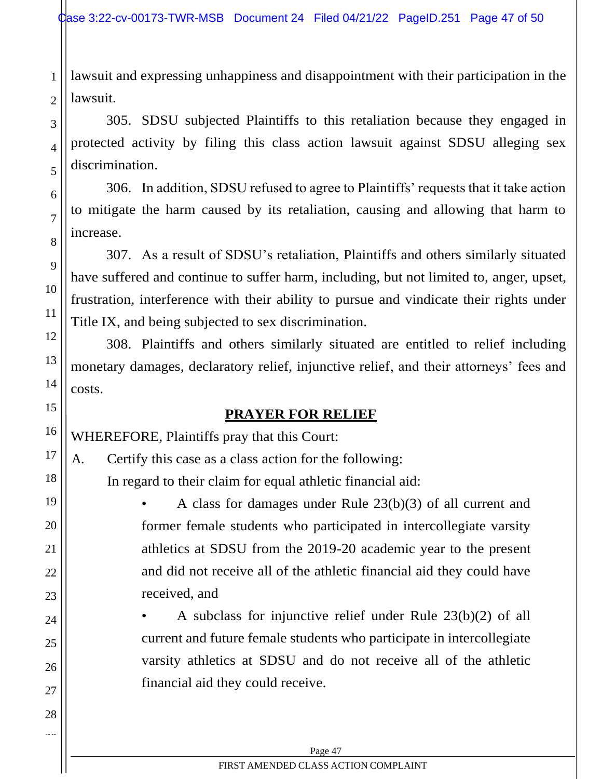lawsuit and expressing unhappiness and disappointment with their participation in the lawsuit.

305. SDSU subjected Plaintiffs to this retaliation because they engaged in protected activity by filing this class action lawsuit against SDSU alleging sex discrimination.

306. In addition, SDSU refused to agree to Plaintiffs' requests that it take action to mitigate the harm caused by its retaliation, causing and allowing that harm to increase.

307. As a result of SDSU's retaliation, Plaintiffs and others similarly situated have suffered and continue to suffer harm, including, but not limited to, anger, upset, frustration, interference with their ability to pursue and vindicate their rights under Title IX, and being subjected to sex discrimination.

308. Plaintiffs and others similarly situated are entitled to relief including monetary damages, declaratory relief, injunctive relief, and their attorneys' fees and costs.

# **PRAYER FOR RELIEF**

WHEREFORE, Plaintiffs pray that this Court:

1

2

3

4

5

6

7

8

9

10

11

12

13

14

<span id="page-46-0"></span>15

16

17

18

19

20

21

22

23

24

25

26

27

28  $\sim$ 

A. Certify this case as a class action for the following:

In regard to their claim for equal athletic financial aid:

• A class for damages under Rule 23(b)(3) of all current and former female students who participated in intercollegiate varsity athletics at SDSU from the 2019-20 academic year to the present and did not receive all of the athletic financial aid they could have received, and

A subclass for injunctive relief under Rule  $23(b)(2)$  of all current and future female students who participate in intercollegiate varsity athletics at SDSU and do not receive all of the athletic financial aid they could receive.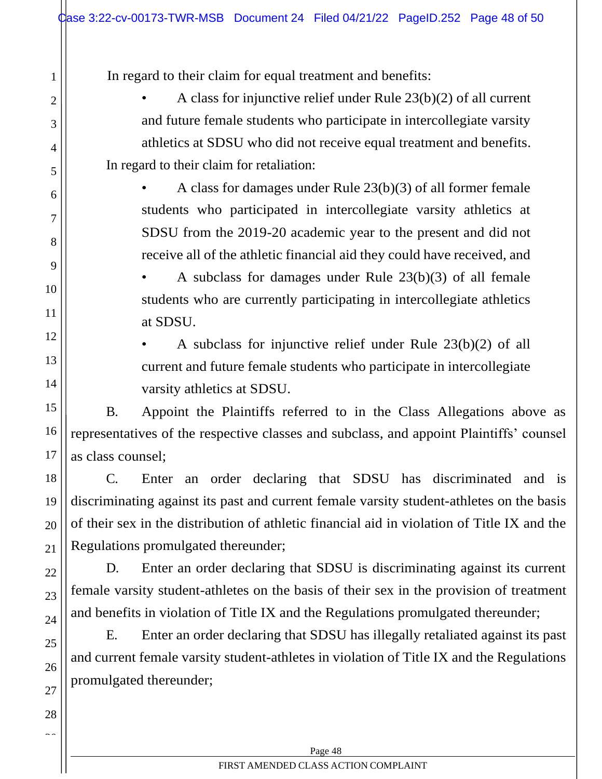In regard to their claim for equal treatment and benefits:

1

2

3

4

5

6

7

8

9

10

11

12

13

14

15

16

17

18

19

20

21

22

23

24

25

26

27

28  $\sim$ 

• A class for injunctive relief under Rule 23(b)(2) of all current and future female students who participate in intercollegiate varsity athletics at SDSU who did not receive equal treatment and benefits. In regard to their claim for retaliation:

A class for damages under Rule  $23(b)(3)$  of all former female students who participated in intercollegiate varsity athletics at SDSU from the 2019-20 academic year to the present and did not receive all of the athletic financial aid they could have received, and

A subclass for damages under Rule  $23(b)(3)$  of all female students who are currently participating in intercollegiate athletics at SDSU.

A subclass for injunctive relief under Rule  $23(b)(2)$  of all current and future female students who participate in intercollegiate varsity athletics at SDSU.

B. Appoint the Plaintiffs referred to in the Class Allegations above as representatives of the respective classes and subclass, and appoint Plaintiffs' counsel as class counsel;

C. Enter an order declaring that SDSU has discriminated and is discriminating against its past and current female varsity student-athletes on the basis of their sex in the distribution of athletic financial aid in violation of Title IX and the Regulations promulgated thereunder;

D. Enter an order declaring that SDSU is discriminating against its current female varsity student-athletes on the basis of their sex in the provision of treatment and benefits in violation of Title IX and the Regulations promulgated thereunder;

E. Enter an order declaring that SDSU has illegally retaliated against its past and current female varsity student-athletes in violation of Title IX and the Regulations promulgated thereunder;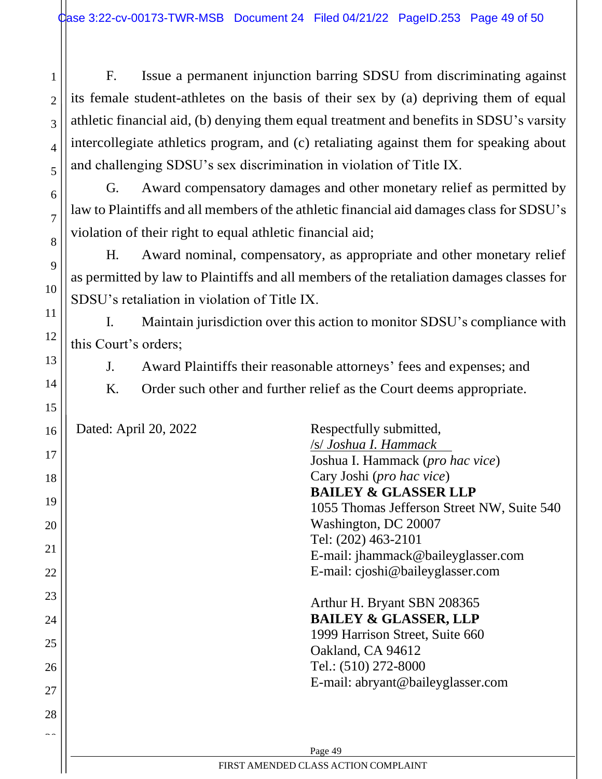2

3

4

5

6

7

8

9

10

11

12

13

14

15

F. Issue a permanent injunction barring SDSU from discriminating against its female student-athletes on the basis of their sex by (a) depriving them of equal athletic financial aid, (b) denying them equal treatment and benefits in SDSU's varsity intercollegiate athletics program, and (c) retaliating against them for speaking about and challenging SDSU's sex discrimination in violation of Title IX.

G. Award compensatory damages and other monetary relief as permitted by law to Plaintiffs and all members of the athletic financial aid damages class for SDSU's violation of their right to equal athletic financial aid;

H. Award nominal, compensatory, as appropriate and other monetary relief as permitted by law to Plaintiffs and all members of the retaliation damages classes for SDSU's retaliation in violation of Title IX.

I. Maintain jurisdiction over this action to monitor SDSU's compliance with this Court's orders;

- J. Award Plaintiffs their reasonable attorneys' fees and expenses; and
- K. Order such other and further relief as the Court deems appropriate.

| 16            | Dated: April 20, 2022                | Respectfully submitted,                    |  |  |  |
|---------------|--------------------------------------|--------------------------------------------|--|--|--|
|               |                                      | /s/ Joshua I. Hammack                      |  |  |  |
| 17            |                                      | Joshua I. Hammack (pro hac vice)           |  |  |  |
| 18            |                                      | Cary Joshi (pro hac vice)                  |  |  |  |
|               |                                      | <b>BAILEY &amp; GLASSER LLP</b>            |  |  |  |
| 19            |                                      | 1055 Thomas Jefferson Street NW, Suite 540 |  |  |  |
| 20            |                                      | Washington, DC 20007                       |  |  |  |
|               |                                      | Tel: (202) 463-2101                        |  |  |  |
| 21            |                                      | E-mail: jhammack@baileyglasser.com         |  |  |  |
| 22            |                                      | E-mail: cjoshi@baileyglasser.com           |  |  |  |
| 23            |                                      |                                            |  |  |  |
|               |                                      | Arthur H. Bryant SBN 208365                |  |  |  |
| 24            |                                      | <b>BAILEY &amp; GLASSER, LLP</b>           |  |  |  |
| 25            |                                      | 1999 Harrison Street, Suite 660            |  |  |  |
|               |                                      | Oakland, CA 94612                          |  |  |  |
| 26            |                                      | Tel.: (510) 272-8000                       |  |  |  |
| 27            |                                      | E-mail: abryant@baileyglasser.com          |  |  |  |
|               |                                      |                                            |  |  |  |
| 28            |                                      |                                            |  |  |  |
| $\sim$ $\sim$ |                                      |                                            |  |  |  |
|               |                                      | Page 49                                    |  |  |  |
|               | FIRST AMENDED CLASS ACTION COMPLAINT |                                            |  |  |  |